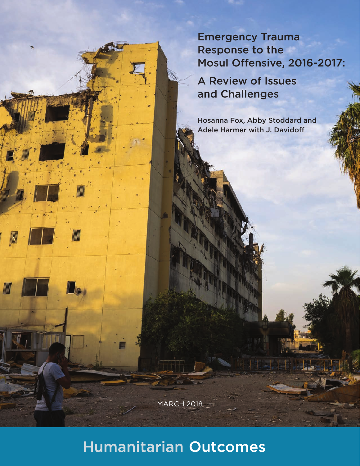Emergency Trauma Response to the Mosul Offensive, 2016-2017:

A Review of Issues and Challenges

Hosanna Fox, Abby Stoddard and Adele Harmer with J. Davidoff

MARCH 2018

# **Humanitarian Outcomes**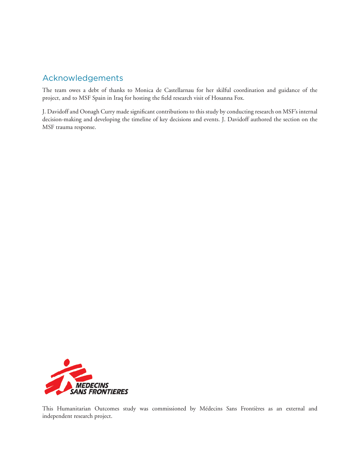## Acknowledgements

The team owes a debt of thanks to Monica de Castellarnau for her skilful coordination and guidance of the project, and to MSF Spain in Iraq for hosting the field research visit of Hosanna Fox.

J. Davidoff and Oonagh Curry made significant contributions to this study by conducting research on MSF's internal decision-making and developing the timeline of key decisions and events. J. Davidoff authored the section on the MSF trauma response.



This Humanitarian Outcomes study was commissioned by Médecins Sans Frontières as an external and independent research project.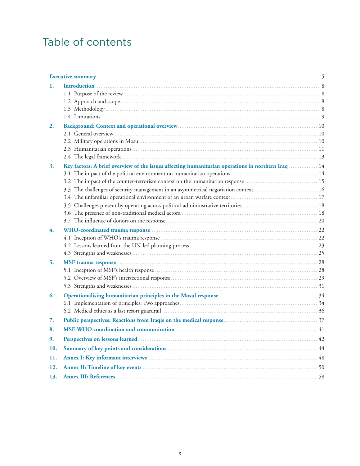# Table of contents

| 1.  |                                                                                                    |    |
|-----|----------------------------------------------------------------------------------------------------|----|
|     |                                                                                                    |    |
|     |                                                                                                    |    |
|     |                                                                                                    |    |
|     |                                                                                                    |    |
| 2.  |                                                                                                    |    |
|     |                                                                                                    |    |
|     |                                                                                                    |    |
|     |                                                                                                    |    |
|     |                                                                                                    |    |
| 3.  | Key factors: A brief overview of the issues affecting humanitarian operations in northern Iraq  14 |    |
|     |                                                                                                    |    |
|     |                                                                                                    |    |
|     |                                                                                                    |    |
|     |                                                                                                    |    |
|     |                                                                                                    |    |
|     |                                                                                                    |    |
| 4.  |                                                                                                    |    |
|     |                                                                                                    |    |
|     |                                                                                                    |    |
|     |                                                                                                    |    |
| 5.  |                                                                                                    |    |
|     |                                                                                                    |    |
|     |                                                                                                    |    |
|     |                                                                                                    |    |
| 6.  |                                                                                                    |    |
|     |                                                                                                    |    |
|     |                                                                                                    |    |
| 7.  |                                                                                                    |    |
| 8.  |                                                                                                    |    |
| 9.  |                                                                                                    | 42 |
| 10. |                                                                                                    |    |
| 11. |                                                                                                    |    |
| 12. |                                                                                                    |    |
| 13. |                                                                                                    |    |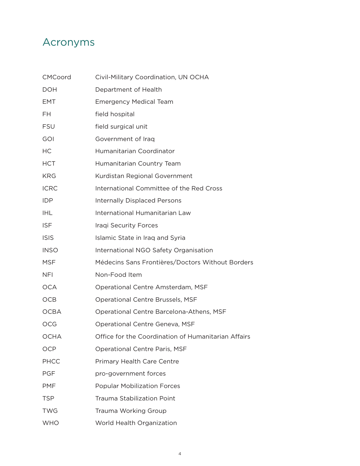# Acronyms

| <b>CMCoord</b> | Civil-Military Coordination, UN OCHA                |
|----------------|-----------------------------------------------------|
| <b>DOH</b>     | Department of Health                                |
| EMT            | <b>Emergency Medical Team</b>                       |
| FH             | field hospital                                      |
| FSU            | field surgical unit                                 |
| GOI            | Government of Iraq                                  |
| НC             | Humanitarian Coordinator                            |
| HCT            | Humanitarian Country Team                           |
| KRG            | Kurdistan Regional Government                       |
| <b>ICRC</b>    | International Committee of the Red Cross            |
| <b>IDP</b>     | <b>Internally Displaced Persons</b>                 |
| IHL            | International Humanitarian Law                      |
| ISF            | <b>Iraqi Security Forces</b>                        |
| <b>ISIS</b>    | Islamic State in Iraq and Syria                     |
| <b>INSO</b>    | International NGO Safety Organisation               |
| MSF            | Médecins Sans Frontières/Doctors Without Borders    |
| NFI            | Non-Food Item                                       |
| <b>OCA</b>     | Operational Centre Amsterdam, MSF                   |
| OCB            | Operational Centre Brussels, MSF                    |
| <b>OCBA</b>    | Operational Centre Barcelona-Athens, MSF            |
| OCG            | Operational Centre Geneva, MSF                      |
| ОСНА           | Office for the Coordination of Humanitarian Affairs |
| OCP            | Operational Centre Paris, MSF                       |
| <b>PHCC</b>    | Primary Health Care Centre                          |
| PGF            | pro-government forces                               |
| PMF            | <b>Popular Mobilization Forces</b>                  |
| TSP            | <b>Trauma Stabilization Point</b>                   |
| TWG            | Trauma Working Group                                |
| <b>WHO</b>     | World Health Organization                           |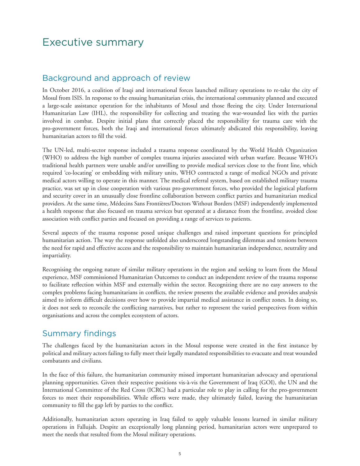## Executive summary

#### Background and approach of review

In October 2016, a coalition of Iraqi and international forces launched military operations to re-take the city of Mosul from ISIS. In response to the ensuing humanitarian crisis, the international community planned and executed a large-scale assistance operation for the inhabitants of Mosul and those fleeing the city. Under International Humanitarian Law (IHL), the responsibility for collecting and treating the war-wounded lies with the parties involved in combat. Despite initial plans that correctly placed the responsibility for trauma care with the pro-government forces, both the Iraqi and international forces ultimately abdicated this responsibility, leaving humanitarian actors to fill the void.

The UN-led, multi-sector response included a trauma response coordinated by the World Health Organization (WHO) to address the high number of complex trauma injuries associated with urban warfare. Because WHO's traditional health partners were unable and/or unwilling to provide medical services close to the front line, which required 'co-locating' or embedding with military units, WHO contracted a range of medical NGOs and private medical actors willing to operate in this manner. The medical referral system, based on established military trauma practice, was set up in close cooperation with various pro-government forces, who provided the logistical platform and security cover in an unusually close frontline collaboration between conflict parties and humanitarian medical providers. At the same time, Médecins Sans Frontières/Doctors Without Borders (MSF) independently implemented a health response that also focused on trauma services but operated at a distance from the frontline, avoided close association with conflict parties and focused on providing a range of services to patients.

Several aspects of the trauma response posed unique challenges and raised important questions for principled humanitarian action. The way the response unfolded also underscored longstanding dilemmas and tensions between the need for rapid and effective access and the responsibility to maintain humanitarian independence, neutrality and impartiality.

Recognising the ongoing nature of similar military operations in the region and seeking to learn from the Mosul experience, MSF commissioned Humanitarian Outcomes to conduct an independent review of the trauma response to facilitate reflection within MSF and externally within the sector. Recognizing there are no easy answers to the complex problems facing humanitarians in conflicts, the review presents the available evidence and provides analysis aimed to inform difficult decisions over how to provide impartial medical assistance in conflict zones. In doing so, it does not seek to reconcile the conflicting narratives, but rather to represent the varied perspectives from within organisations and across the complex ecosystem of actors.

#### Summary findings

The challenges faced by the humanitarian actors in the Mosul response were created in the first instance by political and military actors failing to fully meet their legally mandated responsibilities to evacuate and treat wounded combatants and civilians.

In the face of this failure, the humanitarian community missed important humanitarian advocacy and operational planning opportunities. Given their respective positions vis-à-vis the Government of Iraq (GOI), the UN and the International Committee of the Red Cross (ICRC) had a particular role to play in calling for the pro-government forces to meet their responsibilities. While efforts were made, they ultimately failed, leaving the humanitarian community to fill the gap left by parties to the conflict.

Additionally, humanitarian actors operating in Iraq failed to apply valuable lessons learned in similar military operations in Fallujah. Despite an exceptionally long planning period, humanitarian actors were unprepared to meet the needs that resulted from the Mosul military operations.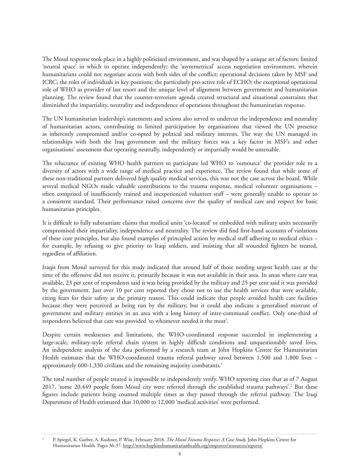The Mosul response took place in a highly politicised environment, and was shaped by a unique set of factors: limited 'neutral space' in which to operate independently; the 'asymmetrical' access negotiation environment, wherein humanitarians could not negotiate access with both sides of the conflict; operational decisions taken by MSF and ICRC; the roles of individuals in key positions; the particularly pro-active role of ECHO; the exceptional operational role of WHO as provider of last resort and the unique level of alignment between government and humanitarian planning. The review found that the counter-terrorism agenda created structural and situational constraints that diminished the impartiality, neutrality and independence of operations throughout the humanitarian response.

The UN humanitarian leadership's statements and actions also served to undercut the independence and neutrality of humanitarian actors, contributing to limited participation by organisations that viewed the UN presence as inherently compromised and/or co-opted by political and military interests. The way the UN managed its relationships with both the Iraq government and the military forces was a key factor in MSF's and other organisations' assessment that operating neutrally, independently or impartially would be untenable.

The reluctance of existing WHO health partners to participate led WHO to 'outsource' the provider role to a diversity of actors with a wide range of medical practice and experience. The review found that while some of these non-traditional partners delivered high quality medical services, this was not the case across the board. While several medical NGOs made valuable contributions to the trauma response, medical volunteer organisations – often comprised of insufficiently trained and inexperienced volunteer staff – were generally unable to operate to a consistent standard. Their performance raised concerns over the quality of medical care and respect for basic humanitarian principles.

It is difficult to fully substantiate claims that medical units 'co-located' or embedded with military units necessarily compromised their impartiality, independence and neutrality. The review did find first-hand accounts of violations of these core principles, but also found examples of principled action by medical staff adhering to medical ethics – for example, by refusing to give priority to Iraqi soldiers, and insisting that all wounded fighters be treated, regardless of affiliation.

Iraqis from Mosul surveyed for this study indicated that around half of those needing urgent health care at the time of the offensive did not receive it, primarily because it was not available in their area. In areas where care was available, 23 per cent of respondents said it was being provided by the military and 25 per cent said it was provided by the government. Just over 10 per cent reported they chose not to use the health services that were available, citing fears for their safety as the primary reason. This could indicate that people avoided health care facilities because they were perceived as being run by the military, but it could also indicate a generalised mistrust of government and military entities in an area with a long history of inter-communal conflict. Only one-third of respondents believed that care was provided 'to whomever needed it the most'.

Despite certain weaknesses and limitations, the WHO-coordinated response succeeded in implementing a large-scale, military-style referral chain system in highly difficult conditions and unquestionably saved lives. An independent analysis of the data performed by a research team at John Hopkins Centre for Humanitarian Health estimates that the WHO-coordinated trauma referral pathway saved between 1,500 and 1,800 lives – approximately 600-1,330 civilians and the remaining majority combatants.1

The total number of people treated is impossible to independently verify. WHO reporting cites that as of 7 August 2017, 'some 20,449 people from Mosul city were referred through the established trauma pathways'.<sup>2</sup> But these figures include patients being counted multiple times as they passed through the referral pathway. The Iraqi Department of Health estimated that 10,000 to 12,000 'medical activities' were performed.

1

P. Spiegel, K. Garber, A. Kushner, P. Wise, February 2018. *The Mosul Trauma Response: A Case Study.* John Hopkins Centre for Humanitarian Health. Pages 36-37. http://www.hopkinshumanitarianhealth.org/empower/resources/reports/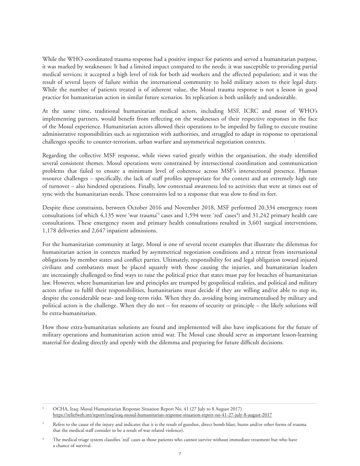While the WHO-coordinated trauma response had a positive impact for patients and served a humanitarian purpose, it was marked by weaknesses: It had a limited impact compared to the needs; it was susceptible to providing partial medical services; it accepted a high level of risk for both aid workers and the affected population; and it was the result of several layers of failure within the international community to hold military actors to their legal duty. While the number of patients treated is of inherent value, the Mosul trauma response is not a lesson in good practice for humanitarian action in similar future scenarios. Its replication is both unlikely and undesirable.

At the same time, traditional humanitarian medical actors, including MSF, ICRC and most of WHO's implementing partners, would benefit from reflecting on the weaknesses of their respective responses in the face of the Mosul experience. Humanitarian actors allowed their operations to be impeded by failing to execute routine administrative responsibilities such as registration with authorities, and struggled to adapt in response to operational challenges specific to counter-terrorism, urban warfare and asymmetrical negotiation contexts.

Regarding the collective MSF response, while views varied greatly within the organisation, the study identified several consistent themes. Mosul operations were constrained by intersectional coordination and communication problems that failed to ensure a minimum level of coherence across MSF's intersectional presence. Human resource challenges – specifically, the lack of staff profiles appropriate for the context and an extremely high rate of turnover – also hindered operations. Finally, low contextual awareness led to activities that were at times out of sync with the humanitarian needs. These constraints led to a response that was slow to find its feet.

Despite these constraints, between October 2016 and November 2018, MSF performed 20,334 emergency room consultations (of which 4,135 were 'war trauma'<sup>3</sup> cases and 1,594 were 'red' cases<sup>4</sup>) and 31,242 primary health care consultations. These emergency room and primary health consultations resulted in 3,601 surgical interventions, 1,178 deliveries and 2,647 inpatient admissions.

For the humanitarian community at large, Mosul is one of several recent examples that illustrate the dilemmas for humanitarian action in contexts marked by asymmetrical negotiation conditions and a retreat from international obligations by member states and conflict parties. Ultimately, responsibility for and legal obligation toward injured civilians and combatants must be placed squarely with those causing the injuries, and humanitarian leaders are increasingly challenged to find ways to raise the political price that states must pay for breaches of humanitarian law. However, where humanitarian law and principles are trumped by geopolitical realities, and political and military actors refuse to fulfil their responsibilities, humanitarians must decide if they are willing and/or able to step in, despite the considerable near- and long-term risks. When they do, avoiding being instrumentalised by military and political actors is the challenge. When they do not – for reasons of security or principle – the likely solutions will be extra-humanitarian.

How those extra-humanitarian solutions are found and implemented will also have implications for the future of military operations and humanitarian action amid war. The Mosul case should serve as important lesson-learning material for dealing directly and openly with the dilemma and preparing for future difficult decisions.

2 OCHA, Iraq: Mosul Humanitarian Response Situation Report No. 41 (27 July to 8 August 2017) https://reliefweb.int/report/iraq/iraq-mosul-humanitarian-response-situation-report-no-41-27-july-8-august-2017

<sup>3</sup> Refers to the cause of the injury and indicates that it is the result of gunshot, direct bomb blast, burns and/or other forms of trauma that the medical staff consider to be a result of war related violence).

<sup>4</sup> The medical triage system classifies 'red' cases as those patients who cannot survive without immediate treatment but who have a chance of survival.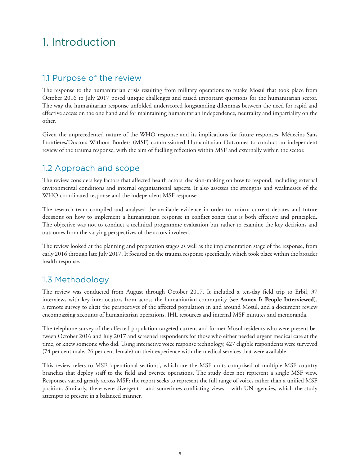# 1. Introduction

## 1.1 Purpose of the review

The response to the humanitarian crisis resulting from military operations to retake Mosul that took place from October 2016 to July 2017 posed unique challenges and raised important questions for the humanitarian sector. The way the humanitarian response unfolded underscored longstanding dilemmas between the need for rapid and effective access on the one hand and for maintaining humanitarian independence, neutrality and impartiality on the other.

Given the unprecedented nature of the WHO response and its implications for future responses, Médecins Sans Frontières/Doctors Without Borders (MSF) commissioned Humanitarian Outcomes to conduct an independent review of the trauma response, with the aim of fuelling reflection within MSF and externally within the sector.

## 1.2 Approach and scope

The review considers key factors that affected health actors' decision-making on how to respond, including external environmental conditions and internal organisational aspects. It also assesses the strengths and weaknesses of the WHO-coordinated response and the independent MSF response.

The research team compiled and analysed the available evidence in order to inform current debates and future decisions on how to implement a humanitarian response in conflict zones that is both effective and principled. The objective was not to conduct a technical programme evaluation but rather to examine the key decisions and outcomes from the varying perspectives of the actors involved.

The review looked at the planning and preparation stages as well as the implementation stage of the response, from early 2016 through late July 2017. It focused on the trauma response specifically, which took place within the broader health response.

## 1.3 Methodology

The review was conducted from August through October 2017. It included a ten-day field trip to Erbil, 37 interviews with key interlocutors from across the humanitarian community (see **[Annex I: People Interviewed](#page-47-0)**), a remote survey to elicit the perspectives of the affected population in and around Mosul, and a document review encompassing accounts of humanitarian operations, IHL resources and internal MSF minutes and memoranda.

The telephone survey of the affected population targeted current and former Mosul residents who were present between October 2016 and July 2017 and screened respondents for those who either needed urgent medical care at the time, or knew someone who did. Using interactive voice response technology, 427 eligible respondents were surveyed (74 per cent male, 26 per cent female) on their experience with the medical services that were available.

This review refers to MSF 'operational sections', which are the MSF units comprised of multiple MSF country branches that deploy staff to the field and oversee operations. The study does not represent a single MSF view. Responses varied greatly across MSF; the report seeks to represent the full range of voices rather than a unified MSF position. Similarly, there were divergent – and sometimes conflicting views – with UN agencies, which the study attempts to present in a balanced manner.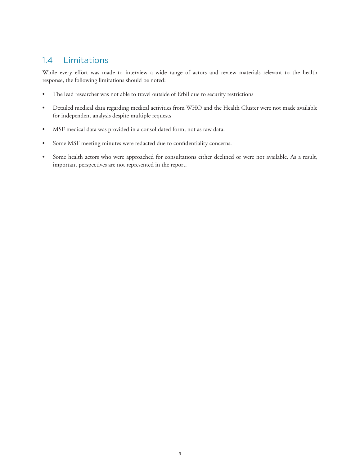## 1.4 Limitations

While every effort was made to interview a wide range of actors and review materials relevant to the health response, the following limitations should be noted:

- The lead researcher was not able to travel outside of Erbil due to security restrictions
- Detailed medical data regarding medical activities from WHO and the Health Cluster were not made available for independent analysis despite multiple requests
- MSF medical data was provided in a consolidated form, not as raw data.
- Some MSF meeting minutes were redacted due to confidentiality concerns.
- Some health actors who were approached for consultations either declined or were not available. As a result, important perspectives are not represented in the report.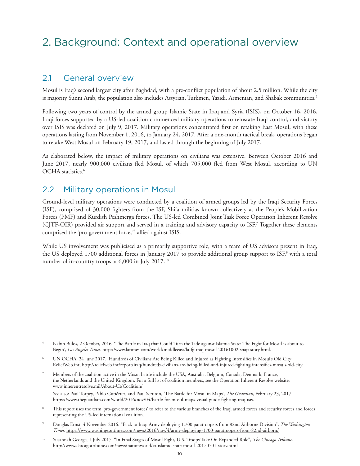# 2. Background: Context and operational overview

#### 2.1 General overview

Mosul is Iraq's second largest city after Baghdad, with a pre-conflict population of about 2.5 million. While the city is majority Sunni Arab, the population also includes Assyrian, Turkmen, Yazidi, Armenian, and Shabak communities.<sup>5</sup>

Following two years of control by the armed group Islamic State in Iraq and Syria (ISIS), on October 16, 2016, Iraqi forces supported by a US-led coalition commenced military operations to reinstate Iraqi control, and victory over ISIS was declared on July 9, 2017. Military operations concentrated first on retaking East Mosul, with these operations lasting from November 1, 2016, to January 24, 2017. After a one-month tactical break, operations began to retake West Mosul on February 19, 2017, and lasted through the beginning of July 2017.

As elaborated below, the impact of military operations on civilians was extensive. Between October 2016 and June 2017, nearly 900,000 civilians fled Mosul, of which 705,000 fled from West Mosul, according to UN OCHA statistics.<sup>6</sup>

#### 2.2 Military operations in Mosul

Ground-level military operations were conducted by a coalition of armed groups led by the Iraqi Security Forces (ISF), comprised of 30,000 fighters from the ISF, Shi'a militias known collectively as the People's Mobilization Forces (PMF) and Kurdish Peshmerga forces. The US-led Combined Joint Task Force Operation Inherent Resolve (CJTF-OIR) provided air support and served in a training and advisory capacity to ISF.7 Together these elements comprised the 'pro-government forces'8 allied against ISIS.

While US involvement was publicised as a primarily supportive role, with a team of US advisors present in Iraq, the US deployed 1700 additional forces in January 2017 to provide additional group support to ISF,<sup>9</sup> with a total number of in-country troops at 6,000 in July 2017.10

- 6 UN OCHA, 24 June 2017. 'Hundreds of Civilians Are Being Killed and Injured as Fighting Intensifies in Mosul's Old City'. ReliefWeb.int, http://reliefweb.int/report/iraq/hundreds-civilians-are-being-killed-and-injured-fighting-intensifies-mosuls-old-city.
- 7 Members of the coalition active in the Mosul battle include the USA, Australia, Belgium, Canada, Denmark, France, the Netherlands and the United Kingdom. For a full list of coalition members, see the Operation Inherent Resolve website: www.inherentresolve.mil/About-Us/Coalition/ See also: Paul Torpey, Pablo Gutiérrez, and Paul Scruton, 'The Battle for Mosul in Maps', *The Guardian,* February 23, 2017. https://www.theguardian.com/world/2016/nov/04/battle-for-mosul-maps-visual-guide-fighting-iraq-isis.
- 8 This report uses the term 'pro-government forces' to refer to the various branches of the Iraqi armed forces and security forces and forces representing the US-led international coalition.
- 9 Douglas Ernst, 4 November 2016. "Back to Iraq: Army deploying 1,700 paratroopers from 82nd Airborne Division", *The Washington Times.* https://www.washingtontimes.com/news/2016/nov/4/army-deploying-1700-paratroopers-from-82nd-airborn/
- 10 Susannah George, 1 July 2017. "In Final Stages of Mosul Fight, U.S. Troops Take On Expanded Role", *The Chicago Tribune.*  http://www.chicagotribune.com/news/nationworld/ct-islamic-state-mosul-20170701-story.html

<sup>5</sup> Nabih Bulos, 2 October, 2016. 'The Battle in Iraq that Could Turn the Tide against Islamic State: The Fight for Mosul is about to Begin', *Los Angeles Times.* http://www.latimes.com/world/middleeast/la-fg-iraq-mosul-20161002-snap-story.html.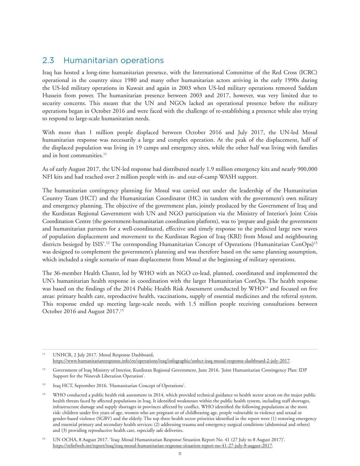## 2.3 Humanitarian operations

Iraq has hosted a long-time humanitarian presence, with the International Committee of the Red Cross (ICRC) operational in the country since 1980 and many other humanitarian actors arriving in the early 1990s during the US-led military operations in Kuwait and again in 2003 when US-led military operations removed Saddam Hussein from power. The humanitarian presence between 2003 and 2017, however, was very limited due to security concerns. This meant that the UN and NGOs lacked an operational presence before the military operations began in October 2016 and were faced with the challenge of re-establishing a presence while also trying to respond to large-scale humanitarian needs.

With more than 1 million people displaced between October 2016 and July 2017, the UN-led Mosul humanitarian response was necessarily a large and complex operation. At the peak of the displacement, half of the displaced population was living in 19 camps and emergency sites, while the other half was living with families and in host communities.<sup>11</sup>

As of early August 2017, the UN-led response had distributed nearly 1.9 million emergency kits and nearly 900,000 NFI kits and had reached over 2 million people with in- and out-of-camp WASH support.

The humanitarian contingency planning for Mosul was carried out under the leadership of the Humanitarian Country Team (HCT) and the Humanitarian Coordinator (HC) in tandem with the government's own military and emergency planning. The objective of the government plan, jointly produced by the Government of Iraq and the Kurdistan Regional Government with UN and NGO participation via the Ministry of Interior's Joint Crisis Coordination Centre (the government-humanitarian coordination platform), was to 'prepare and guide the government and humanitarian partners for a well-coordinated, effective and timely response to the predicted large new waves of population displacement and movement to the Kurdistan Region of Iraq (KRI) from Mosul and neighbouring districts besieged by ISIS'.<sup>12</sup> The corresponding Humanitarian Concept of Operations (Humanitarian ConOps)<sup>13</sup> was designed to complement the government's planning and was therefore based on the same planning assumption, which included a single scenario of mass displacement from Mosul at the beginning of military operations.

The 36-member Health Cluster, led by WHO with an NGO co-lead, planned, coordinated and implemented the UN's humanitarian health response in coordination with the larger Humanitarian ConOps. The health response was based on the findings of the 2014 Public Health Risk Assessment conducted by WHO<sup>14</sup> and focused on five areas: primary health care, reproductive health, vaccinations, supply of essential medicines and the referral system. This response ended up meeting large-scale needs, with 1.5 million people receiving consultations between October 2016 and August 2017.<sup>15</sup>

<sup>11</sup> UNHCR, 2 July 2017. Mosul Response Dashboard, https://www.humanitarianresponse.info/en/operations/iraq/infographic/unhcr-iraq-mosul-response-dashboard-2-july-2017.

<sup>12</sup> Government of Iraq Ministry of Interior, Kurdistan Regional Government, June 2016. 'Joint Humanitarian Contingency Plan: IDP Support for the Ninevah Liberation Operation'.

<sup>13</sup> Iraq HCT, September 2016. 'Humanitarian Concept of Operations'.

<sup>&</sup>lt;sup>14</sup> WHO conducted a public health risk assessment in 2014, which provided technical guidance to health sector actors on the major public health threats faced by affected populations in Iraq. It identified weaknesses within the public health system, including staff shortages, infrastructure damage and supply shortages in provinces affected by conflict. WHO identified the following populations at the most risk: children under five years of age, women who are pregnant or of childbearing age, people vulnerable to violence and sexual or gender-based violence (SGBV) and the elderly. The top three health sector priorities identified in the report were (1) restoring emergency and essential primary and secondary health services; (2) addressing trauma and emergency surgical conditions (abdominal and others) and (3) providing reproductive health care, especially safe deliveries.

<sup>&</sup>lt;sup>15</sup> UN OCHA, 8 August 2017. 'Iraq: Mosul Humanitarian Response Situation Report No. 41 (27 July to 8 August 2017)'. https://reliefweb.int/report/iraq/iraq-mosul-humanitarian-response-situation-report-no-41-27-july-8-august-2017.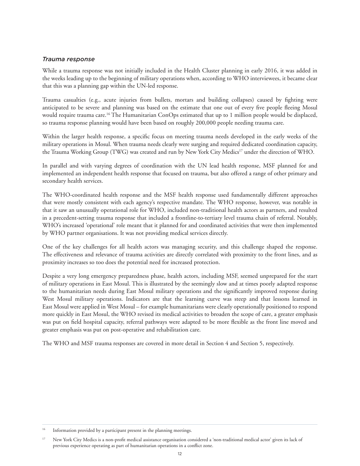#### *Trauma response*

While a trauma response was not initially included in the Health Cluster planning in early 2016, it was added in the weeks leading up to the beginning of military operations when, according to WHO interviewees, it became clear that this was a planning gap within the UN-led response.

Trauma casualties (e.g., acute injuries from bullets, mortars and building collapses) caused by fighting were anticipated to be severe and planning was based on the estimate that one out of every five people fleeing Mosul would require trauma care.16 The Humanitarian ConOps estimated that up to 1 million people would be displaced, so trauma response planning would have been based on roughly 200,000 people needing trauma care.

Within the larger health response, a specific focus on meeting trauma needs developed in the early weeks of the military operations in Mosul. When trauma needs clearly were surging and required dedicated coordination capacity, the Trauma Working Group (TWG) was created and run by New York City Medics<sup>17</sup> under the direction of WHO.

In parallel and with varying degrees of coordination with the UN lead health response, MSF planned for and implemented an independent health response that focused on trauma, but also offered a range of other primary and secondary health services.

The WHO-coordinated health response and the MSF health response used fundamentally different approaches that were mostly consistent with each agency's respective mandate. The WHO response, however, was notable in that it saw an unusually operational role for WHO, included non-traditional health actors as partners, and resulted in a precedent-setting trauma response that included a frontline-to-tertiary level trauma chain of referral. Notably, WHO's increased 'operational' role meant that it planned for and coordinated activities that were then implemented by WHO partner organisations. It was not providing medical services directly.

One of the key challenges for all health actors was managing security, and this challenge shaped the response. The effectiveness and relevance of trauma activities are directly correlated with proximity to the front lines, and as proximity increases so too does the potential need for increased protection.

Despite a very long emergency preparedness phase, health actors, including MSF, seemed unprepared for the start of military operations in East Mosul. This is illustrated by the seemingly slow and at times poorly adapted response to the humanitarian needs during East Mosul military operations and the significantly improved response during West Mosul military operations. Indicators are that the learning curve was steep and that lessons learned in East Mosul were applied in West Mosul – for example humanitarians were clearly operationally positioned to respond more quickly in East Mosul, the WHO revised its medical activities to broaden the scope of care, a greater emphasis was put on field hospital capacity, referral pathways were adapted to be more flexible as the front line moved and greater emphasis was put on post-operative and rehabilitation care.

The WHO and MSF trauma responses are covered in more detail in Section 4 and Section 5, respectively.

<sup>&</sup>lt;sup>16</sup> Information provided by a participant present in the planning meetings.

<sup>&</sup>lt;sup>17</sup> New York City Medics is a non-profit medical assistance organisation considered a 'non-traditional medical actor' given its lack of previous experience operating as part of humanitarian operations in a conflict zone.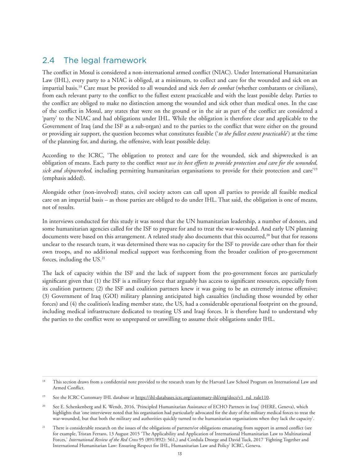## 2.4 The legal framework

The conflict in Mosul is considered a non-international armed conflict (NIAC). Under International Humanitarian Law (IHL), every party to a NIAC is obliged, at a minimum, to collect and care for the wounded and sick on an impartial basis.18 Care must be provided to all wounded and sick *hors de combat* (whether combatants or civilians), from each relevant party to the conflict to the fullest extent practicable and with the least possible delay. Parties to the conflict are obliged to make no distinction among the wounded and sick other than medical ones. In the case of the conflict in Mosul, any states that were on the ground or in the air as part of the conflict are considered a 'party' to the NIAC and had obligations under IHL. While the obligation is therefore clear and applicable to the Government of Iraq (and the ISF as a sub-organ) and to the parties to the conflict that were either on the ground or providing air support, the question becomes what constitutes feasible ('*to the fullest extent practicable*') at the time of the planning for, and during, the offensive, with least possible delay.

According to the ICRC, 'The obligation to protect and care for the wounded, sick and shipwrecked is an obligation of means. Each party to the conflict *must use its best efforts to provide protection and care for the wounded, sick and shipwrecked,* including permitting humanitarian organisations to provide for their protection and care'19 (emphasis added).

Alongside other (non-involved) states, civil society actors can call upon all parties to provide all feasible medical care on an impartial basis – as those parties are obliged to do under IHL. That said, the obligation is one of means, not of results.

In interviews conducted for this study it was noted that the UN humanitarian leadership, a number of donors, and some humanitarian agencies called for the ISF to prepare for and to treat the war-wounded. And early UN planning documents were based on this arrangement. A related study also documents that this occurred,<sup>20</sup> but that for reasons unclear to the research team, it was determined there was no capacity for the ISF to provide care other than for their own troops, and no additional medical support was forthcoming from the broader coalition of pro-government forces, including the US.<sup>21</sup>

The lack of capacity within the ISF and the lack of support from the pro-government forces are particularly significant given that (1) the ISF is a military force that arguably has access to significant resources, especially from its coalition partners; (2) the ISF and coalition partners knew it was going to be an extremely intense offensive; (3) Government of Iraq (GOI) military planning anticipated high casualties (including those wounded by other forces) and (4) the coalition's leading member state, the US, had a considerable operational footprint on the ground, including medical infrastructure dedicated to treating US and Iraqi forces. It is therefore hard to understand why the parties to the conflict were so unprepared or unwilling to assume their obligations under IHL.

<sup>&</sup>lt;sup>18</sup> This section draws from a confidential note provided to the research team by the Harvard Law School Program on International Law and Armed Conflict.

See the ICRC Customary IHL database at https://ihl-databases.icrc.org/customary-ihl/eng/docs/v1\_rul\_rule110.

<sup>&</sup>lt;sup>20</sup> See E. Schenkenberg and K. Wendt, 2016, 'Principled Humanitarian Assistance of ECHO Partners in Iraq' (HERE, Geneva), which highlights that 'one interviewee noted that his organisation had particularly advocated for the duty of the military medical forces to treat the war-wounded, but that both the military and authorities quickly turned to the humanitarian organisations when they lack the capacity'.

<sup>&</sup>lt;sup>21</sup> There is considerable research on the issues of the obligations of partners/or obligations emanating from support in armed conflict (see for example, Tristan Ferraro, 13 August 2015 'The Applicability and Application of International Humanitarian Law to Multinational Forces,' *International Review of the Red Cross* 95 (891/892): 561,) and Cordula Droege and David Tuck, 2017 'Fighting Together and International Humanitarian Law: Ensuring Respect for IHL, Humanitarian Law and Policy' ICRC, Geneva.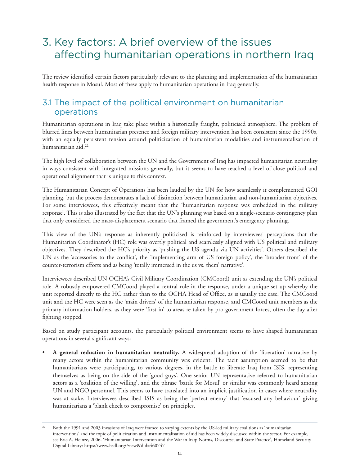# 3. Key factors: A brief overview of the issues affecting humanitarian operations in northern Iraq

The review identified certain factors particularly relevant to the planning and implementation of the humanitarian health response in Mosul. Most of these apply to humanitarian operations in Iraq generally.

## 3.1 The impact of the political environment on humanitarian operations

Humanitarian operations in Iraq take place within a historically fraught, politicised atmosphere. The problem of blurred lines between humanitarian presence and foreign military intervention has been consistent since the 1990s, with an equally persistent tension around politicization of humanitarian modalities and instrumentalisation of humanitarian aid.<sup>22</sup>

The high level of collaboration between the UN and the Government of Iraq has impacted humanitarian neutrality in ways consistent with integrated missions generally, but it seems to have reached a level of close political and operational alignment that is unique to this context.

The Humanitarian Concept of Operations has been lauded by the UN for how seamlessly it complemented GOI planning, but the process demonstrates a lack of distinction between humanitarian and non-humanitarian objectives. For some interviewees, this effectively meant that the 'humanitarian response was embedded in the military response'. This is also illustrated by the fact that the UN's planning was based on a single-scenario contingency plan that only considered the mass-displacement scenario that framed the government's emergency planning.

This view of the UN's response as inherently politicised is reinforced by interviewees' perceptions that the Humanitarian Coordinator's (HC) role was overtly political and seamlessly aligned with US political and military objectives. They described the HC's priority as 'pushing the US agenda via UN activities'. Others described the UN as the 'accessories to the conflict', the 'implementing arm of US foreign policy', the 'broader front' of the counter-terrorism efforts and as being 'totally immersed in the us vs. them' narrative'.

Interviewees described UN OCHA's Civil Military Coordination (CMCoord) unit as extending the UN's political role. A robustly empowered CMCoord played a central role in the response, under a unique set up whereby the unit reported directly to the HC rather than to the OCHA Head of Office, as is usually the case. The CMCoord unit and the HC were seen as the 'main drivers' of the humanitarian response, and CMCoord unit members as the primary information holders, as they were 'first in' to areas re-taken by pro-government forces, often the day after fighting stopped.

Based on study participant accounts, the particularly political environment seems to have shaped humanitarian operations in several significant ways:

• **A general reduction in humanitarian neutrality.** A widespread adoption of the 'liberation' narrative by many actors within the humanitarian community was evident. The tacit assumption seemed to be that humanitarians were participating, to various degrees, in the battle to liberate Iraq from ISIS, representing themselves as being on the side of the 'good guys'. One senior UN representative referred to humanitarian actors as a 'coalition of the willing', and the phrase 'battle for Mosul' or similar was commonly heard among UN and NGO personnel. This seems to have translated into an implicit justification in cases where neutrality was at stake. Interviewees described ISIS as being the 'perfect enemy' that 'excused any behaviour' giving humanitarians a 'blank check to compromise' on principles.

<sup>&</sup>lt;sup>22</sup> Both the 1991 and 2003 invasions of Iraq were framed to varying extents by the US-led military coalitions as 'humanitarian interventions' and the topic of politicization and instrumentalisation of aid has been widely discussed within the sector. For example, see Eric A. Heinze, 2006. 'Humanitarian Intervention and the War in Iraq: Norms, Discourse, and State Practice', Homeland Security Digital Library: https://www.hsdl.org/?view&did=460747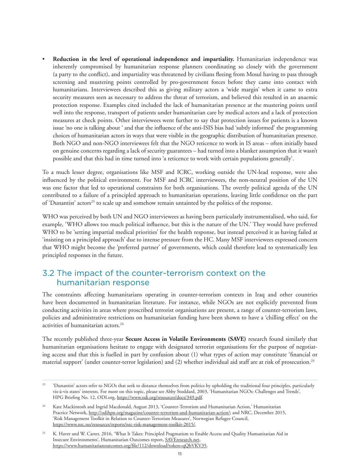• **Reduction in the level of operational independence and impartiality.** Humanitarian independence was inherently compromised by humanitarian response planners coordinating so closely with the government (a party to the conflict), and impartiality was threatened by civilians fleeing from Mosul having to pass through screening and mustering points controlled by pro-government forces before they came into contact with humanitarians. Interviewees described this as giving military actors a 'wide margin' when it came to extra security measures seen as necessary to address the threat of terrorism, and believed this resulted in an anaemic protection response. Examples cited included the lack of humanitarian presence at the mustering points until well into the response, transport of patients under humanitarian care by medical actors and a lack of protection measures at check points. Other interviewees went further to say that protection issues for patients is a known issue 'no one is talking about ' and that the influence of the anti-ISIS bias had 'subtly informed' the programming choices of humanitarian actors in ways that were visible in the geographic distribution of humanitarian presence. Both NGO and non-NGO interviewees felt that the NGO reticence to work in IS areas – often initially based on genuine concerns regarding a lack of security guarantees – had turned into a blanket assumption that it wasn't possible and that this had in time turned into 'a reticence to work with certain populations generally'.

To a much lesser degree, organisations like MSF and ICRC, working outside the UN-lead response, were also influenced by the political environment. For MSF and ICRC interviewees, the non-neutral position of the UN was one factor that led to operational constraints for both organisations. The overtly political agenda of the UN contributed to a failure of a principled approach to humanitarian operations, leaving little confidence on the part of 'Dunantist' actors<sup>23</sup> to scale up and somehow remain untainted by the politics of the response.

WHO was perceived by both UN and NGO interviewees as having been particularly instrumentalised, who said, for example, 'WHO allows too much political influence, but this is the nature of the UN.' They would have preferred WHO to be 'setting impartial medical priorities' for the health response, but instead perceived it as having failed at 'insisting on a principled approach' due to intense pressure from the HC. Many MSF interviewees expressed concern that WHO might become the 'preferred partner' of governments, which could therefore lead to systematically less principled responses in the future.

## 3.2 The impact of the counter-terrorism context on the humanitarian response

The constraints affecting humanitarians operating in counter-terrorism contexts in Iraq and other countries have been documented in humanitarian literature. For instance, while NGOs are not explicitly prevented from conducting activities in areas where proscribed terrorist organisations are present, a range of counter-terrorism laws, policies and administrative restrictions on humanitarian funding have been shown to have a 'chilling effect' on the activities of humanitarian actors.<sup>24</sup>

The recently published three-year **Secure Access in Volatile Environments (SAVE)** research found similarly that humanitarian organisations hesitate to engage with designated terrorist organisations for the purpose of negotiating access and that this is fuelled in part by confusion about (1) what types of action may constitute 'financial or material support' (under counter-terror legislation) and (2) whether individual aid staff are at risk of prosecution.25

<sup>&</sup>lt;sup>23</sup> 'Dunantist' actors refer to NGOs that seek to distance themselves from politics by upholding the traditional four principles, particularly vis-à-vis states' interests. For more on this topic, please see Abby Stoddard, 2003, 'Humanitarian NGOs: Challenges and Trends', HPG Briefing No. 12, ODI.org, https://www.odi.org/resources/docs/349.pdf.

<sup>&</sup>lt;sup>24</sup> Kate Mackintosh and Ingrid Macdonald, August 2013, 'Counter-Terrorism and Humanitarian Action,' Humanitarian Practice Network, http://odihpn.org/magazine/counter-terrorism-and-humanitarian-action/; and NRC, December 2015, 'Risk Management Toolkit in Relation to Counter-Terrorism Measures', Norwegian Refugee Council, https://www.nrc.no/resources/reports/nrc-risk-management-toolkit-2015/.

<sup>&</sup>lt;sup>25</sup> K. Haver and W. Carter, 2016, 'What It Takes: Principled Pragmatism to Enable Access and Quality Humanitarian Aid in Insecure Environments', Humanitarian Outcomes report, [SAVEresearch.net,](http://www.saveresearch.net/) https://www.humanitarianoutcomes.org/file/112/download?token=qQbVKV35.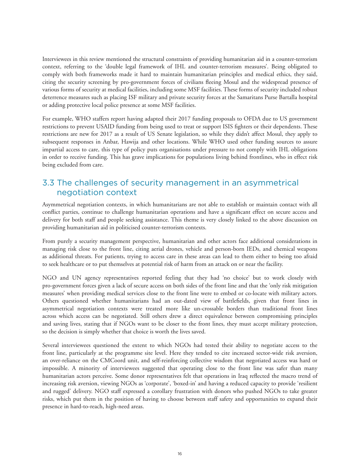Interviewees in this review mentioned the structural constraints of providing humanitarian aid in a counter-terrorism context, referring to the 'double legal framework of IHL and counter-terrorism measures'. Being obligated to comply with both frameworks made it hard to maintain humanitarian principles and medical ethics, they said, citing the security screening by pro-government forces of civilians fleeing Mosul and the widespread presence of various forms of security at medical facilities, including some MSF facilities. These forms of security included robust deterrence measures such as placing ISF military and private security forces at the Samaritans Purse Bartalla hospital or adding protective local police presence at some MSF facilities.

For example, WHO staffers report having adapted their 2017 funding proposals to OFDA due to US government restrictions to prevent USAID funding from being used to treat or support ISIS fighters or their dependents. These restrictions are new for 2017 as a result of US Senate legislation, so while they didn't affect Mosul, they apply to subsequent responses in Anbar, Hawija and other locations. While WHO used other funding sources to assure impartial access to care, this type of policy puts organisations under pressure to not comply with IHL obligations in order to receive funding. This has grave implications for populations living behind frontlines, who in effect risk being excluded from care.

## 3.3 The challenges of security management in an asymmetrical negotiation context

Asymmetrical negotiation contexts, in which humanitarians are not able to establish or maintain contact with all conflict parties, continue to challenge humanitarian operations and have a significant effect on secure access and delivery for both staff and people seeking assistance. This theme is very closely linked to the above discussion on providing humanitarian aid in politicised counter-terrorism contexts.

From purely a security management perspective, humanitarian and other actors face additional considerations in managing risk close to the front line, citing aerial drones, vehicle and person-born IEDs, and chemical weapons as additional threats. For patients, trying to access care in these areas can lead to them either to being too afraid to seek healthcare or to put themselves at potential risk of harm from an attack on or near the facility.

NGO and UN agency representatives reported feeling that they had 'no choice' but to work closely with pro-government forces given a lack of secure access on both sides of the front line and that the 'only risk mitigation measures' when providing medical services close to the front line were to embed or co-locate with military actors. Others questioned whether humanitarians had an out-dated view of battlefields, given that front lines in asymmetrical negotiation contexts were treated more like un-crossable borders than traditional front lines across which access can be negotiated. Still others drew a direct equivalence between compromising principles and saving lives, stating that if NGOs want to be closer to the front lines, they must accept military protection, so the decision is simply whether that choice is worth the lives saved.

Several interviewees questioned the extent to which NGOs had tested their ability to negotiate access to the front line, particularly at the programme site level. Here they tended to cite increased sector-wide risk aversion, an over-reliance on the CMCoord unit, and self-reinforcing collective wisdom that negotiated access was hard or impossible. A minority of interviewees suggested that operating close to the front line was safer than many humanitarian actors perceive. Some donor representatives felt that operations in Iraq reflected the macro trend of increasing risk aversion, viewing NGOs as 'corporate', 'boxed-in' and having a reduced capacity to provide 'resilient and rugged' delivery. NGO staff expressed a corollary frustration with donors who pushed NGOs to take greater risks, which put them in the position of having to choose between staff safety and opportunities to expand their presence in hard-to-reach, high-need areas.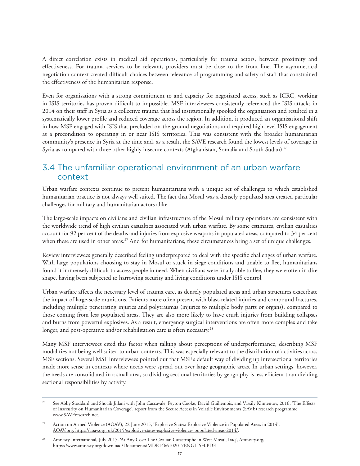A direct correlation exists in medical aid operations, particularly for trauma actors, between proximity and effectiveness. For trauma services to be relevant, providers must be close to the front line. The asymmetrical negotiation context created difficult choices between relevance of programming and safety of staff that constrained the effectiveness of the humanitarian response.

Even for organisations with a strong commitment to and capacity for negotiated access, such as ICRC, working in ISIS territories has proven difficult to impossible. MSF interviewees consistently referenced the ISIS attacks in 2014 on their staff in Syria as a collective trauma that had institutionally spooked the organisation and resulted in a systematically lower profile and reduced coverage across the region. In addition, it produced an organisational shift in how MSF engaged with ISIS that precluded on-the-ground negotiations and required high-level ISIS engagement as a precondition to operating in or near ISIS territories. This was consistent with the broader humanitarian community's presence in Syria at the time and, as a result, the SAVE research found the lowest levels of coverage in Syria as compared with three other highly insecure contexts (Afghanistan, Somalia and South Sudan).<sup>26</sup>

## 3.4 The unfamiliar operational environment of an urban warfare context

Urban warfare contexts continue to present humanitarians with a unique set of challenges to which established humanitarian practice is not always well suited. The fact that Mosul was a densely populated area created particular challenges for military and humanitarian actors alike.

The large-scale impacts on civilians and civilian infrastructure of the Mosul military operations are consistent with the worldwide trend of high civilian casualties associated with urban warfare. By some estimates, civilian casualties account for 92 per cent of the deaths and injuries from explosive weapons in populated areas, compared to 34 per cent when these are used in other areas.<sup>27</sup> And for humanitarians, these circumstances bring a set of unique challenges.

Review interviewees generally described feeling underprepared to deal with the specific challenges of urban warfare. With large populations choosing to stay in Mosul or stuck in siege conditions and unable to flee, humanitarians found it immensely difficult to access people in need. When civilians were finally able to flee, they were often in dire shape, having been subjected to harrowing security and living conditions under ISIS control.

Urban warfare affects the necessary level of trauma care, as densely populated areas and urban structures exacerbate the impact of large-scale munitions. Patients more often present with blast-related injuries and compound fractures, including multiple penetrating injuries and polytraumas (injuries to multiple body parts or organs), compared to those coming from less populated areas. They are also more likely to have crush injuries from building collapses and burns from powerful explosives. As a result, emergency surgical interventions are often more complex and take longer, and post-operative and/or rehabilitation care is often necessary.<sup>28</sup>

Many MSF interviewees cited this factor when talking about perceptions of underperformance, describing MSF modalities not being well suited to urban contexts. This was especially relevant to the distribution of activities across MSF sections. Several MSF interviewees pointed out that MSF's default way of dividing up intersectional territories made more sense in contexts where needs were spread out over large geographic areas. In urban settings, however, the needs are consolidated in a small area, so dividing sectional territories by geography is less efficient than dividing sectional responsibilities by activity.

<sup>26</sup> See Abby Stoddard and Shoaib Jillani with John Caccavale, Peyton Cooke, David Guillemois, and Vassily Klimentov, 2016, 'The Effects of Insecurity on Humanitarian Coverage', report from the Secure Access in Volatile Environments (SAVE) research programme, www.SAVEresearch.net.

<sup>&</sup>lt;sup>27</sup> Action on Armed Violence (AOAV), 22 June 2015, 'Explosive States: Explosive Violence in Populated Areas in 2014', AOAV.org, https://aoav.org. uk/2015/explosive-states-explosive-violence- populated-areas-2014/.

<sup>&</sup>lt;sup>28</sup> Amnesty International, July 2017. 'At Any Cost: The Civilian Catastrophe in West Mosul, Iraq', Amnesty.org, https://www.amnesty.org/download/Documents/MDE1466102017ENGLISH.PDF.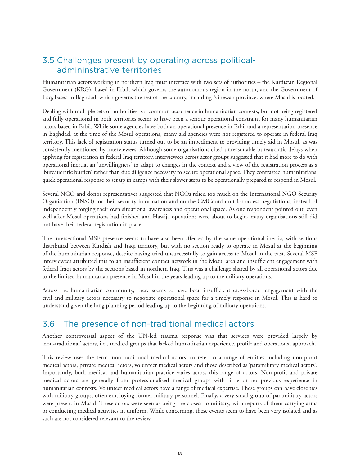## 3.5 Challenges present by operating across politicaladmininstrative territories

Humanitarian actors working in northern Iraq must interface with two sets of authorities – the Kurdistan Regional Government (KRG), based in Erbil, which governs the autonomous region in the north, and the Government of Iraq, based in Baghdad, which governs the rest of the country, including Ninewah province, where Mosul is located.

Dealing with multiple sets of authorities is a common occurrence in humanitarian contexts, but not being registered and fully operational in both territories seems to have been a serious operational constraint for many humanitarian actors based in Erbil. While some agencies have both an operational presence in Erbil and a representation presence in Baghdad, at the time of the Mosul operations, many aid agencies were not registered to operate in federal Iraq territory. This lack of registration status turned out to be an impediment to providing timely aid in Mosul, as was consistently mentioned by interviewees. Although some organisations cited unreasonable bureaucratic delays when applying for registration in federal Iraq territory, interviewees across actor groups suggested that it had more to do with operational inertia, an 'unwillingness' to adapt to changes in the context and a view of the registration process as a 'bureaucratic burden' rather than due diligence necessary to secure operational space. They contrasted humanitarians' quick operational response to set up in camps with their slower steps to be operationally prepared to respond in Mosul.

Several NGO and donor representatives suggested that NGOs relied too much on the International NGO Security Organisation (INSO) for their security information and on the CMCoord unit for access negotiations, instead of independently forging their own situational awareness and operational space. As one respondent pointed out, even well after Mosul operations had finished and Hawija operations were about to begin, many organisations still did not have their federal registration in place.

The intersectional MSF presence seems to have also been affected by the same operational inertia, with sections distributed between Kurdish and Iraqi territory, but with no section ready to operate in Mosul at the beginning of the humanitarian response, despite having tried unsuccessfully to gain access to Mosul in the past. Several MSF interviewees attributed this to an insufficient contact network in the Mosul area and insufficient engagement with federal Iraqi actors by the sections based in northern Iraq. This was a challenge shared by all operational actors due to the limited humanitarian presence in Mosul in the years leading up to the military operations.

Across the humanitarian community, there seems to have been insufficient cross-border engagement with the civil and military actors necessary to negotiate operational space for a timely response in Mosul. This is hard to understand given the long planning period leading up to the beginning of military operations.

## 3.6 The presence of non-traditional medical actors

Another controversial aspect of the UN-led trauma response was that services were provided largely by 'non-traditional' actors, i.e., medical groups that lacked humanitarian experience, profile and operational approach.

This review uses the term 'non-traditional medical actors' to refer to a range of entities including non-profit medical actors, private medical actors, volunteer medical actors and those described as 'paramilitary medical actors'. Importantly, both medical and humanitarian practice varies across this range of actors. Non-profit and private medical actors are generally from professionalised medical groups with little or no previous experience in humanitarian contexts. Volunteer medical actors have a range of medical expertise. These groups can have close ties with military groups, often employing former military personnel. Finally, a very small group of paramilitary actors were present in Mosul. These actors were seen as being the closest to military, with reports of them carrying arms or conducting medical activities in uniform. While concerning, these events seem to have been very isolated and as such are not considered relevant to the review.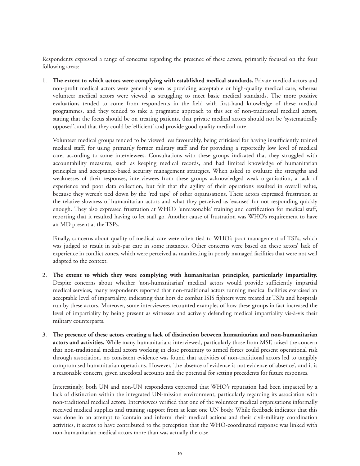Respondents expressed a range of concerns regarding the presence of these actors, primarily focused on the four following areas:

1. **The extent to which actors were complying with established medical standards.** Private medical actors and non-profit medical actors were generally seen as providing acceptable or high-quality medical care, whereas volunteer medical actors were viewed as struggling to meet basic medical standards. The more positive evaluations tended to come from respondents in the field with first-hand knowledge of these medical programmes, and they tended to take a pragmatic approach to this set of non-traditional medical actors, stating that the focus should be on treating patients, that private medical actors should not be 'systematically opposed', and that they could be 'efficient' and provide good quality medical care.

 Volunteer medical groups tended to be viewed less favourably, being criticised for having insufficiently trained medical staff, for using primarily former military staff and for providing a reportedly low level of medical care, according to some interviewees. Consultations with these groups indicated that they struggled with accountability measures, such as keeping medical records, and had limited knowledge of humanitarian principles and acceptance-based security management strategies. When asked to evaluate the strengths and weaknesses of their responses, interviewees from these groups acknowledged weak organisation, a lack of experience and poor data collection, but felt that the agility of their operations resulted in overall value, because they weren't tied down by the 'red tape' of other organisations. These actors expressed frustration at the relative slowness of humanitarian actors and what they perceived as 'excuses' for not responding quickly enough. They also expressed frustration at WHO's 'unreasonable' training and certification for medical staff, reporting that it resulted having to let staff go. Another cause of frustration was WHO's requirement to have an MD present at the TSPs.

 Finally, concerns about quality of medical care were often tied to WHO's poor management of TSPs, which was judged to result in sub-par care in some instances. Other concerns were based on these actors' lack of experience in conflict zones, which were perceived as manifesting in poorly managed facilities that were not well adapted to the context.

- 2. **The extent to which they were complying with humanitarian principles, particularly impartiality.**  Despite concerns about whether 'non-humanitarian' medical actors would provide sufficiently impartial medical services, many respondents reported that non-traditional actors running medical facilities exercised an acceptable level of impartiality, indicating that hors de combat ISIS fighters were treated at TSPs and hospitals run by these actors. Moreover, some interviewees recounted examples of how these groups in fact increased the level of impartiality by being present as witnesses and actively defending medical impartiality vis-à-vis their military counterparts.
- 3. **The presence of these actors creating a lack of distinction between humanitarian and non-humanitarian actors and activities.** While many humanitarians interviewed, particularly those from MSF, raised the concern that non-traditional medical actors working in close proximity to armed forces could present operational risk through association, no consistent evidence was found that activities of non-traditional actors led to tangibly compromised humanitarian operations. However, 'the absence of evidence is not evidence of absence', and it is a reasonable concern, given anecdotal accounts and the potential for setting precedents for future responses.

 Interestingly, both UN and non-UN respondents expressed that WHO's reputation had been impacted by a lack of distinction within the integrated UN-mission environment, particularly regarding its association with non-traditional medical actors. Interviewees verified that one of the volunteer medical organisations informally received medical supplies and training support from at least one UN body. While feedback indicates that this was done in an attempt to 'contain and inform' their medical actions and their civil-military coordination activities, it seems to have contributed to the perception that the WHO-coordinated response was linked with non-humanitarian medical actors more than was actually the case.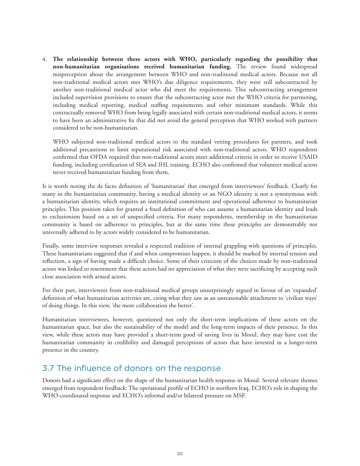4. **The relationship between these actors with WHO, particularly regarding the possibility that non-humanitarian organisations received humanitarian funding.** The review found widespread misperception about the arrangement between WHO and non-traditional medical actors. Because not all non-traditional medical actors met WHO's due diligence requirements, they were still subcontracted by another non-traditional medical actor who did meet the requirements. This subcontracting arrangement included supervision provisions to ensure that the subcontracting actor met the WHO criteria for partnering, including medical reporting, medical staffing requirements and other minimum standards. While this contractually removed WHO from being legally associated with certain non-traditional medical actors, it seems to have been an administrative fix that did not avoid the general perception that WHO worked with partners considered to be non-humanitarian.

 WHO subjected non-traditional medical actors to the standard vetting procedures for partners, and took additional precautions to limit reputational risk associated with non-traditional actors. WHO respondents confirmed that OFDA required that non-traditional actors meet additional criteria in order to receive USAID funding, including certification of SEA and IHL training. ECHO also confirmed that volunteer medical actors never received humanitarian funding from them.

It is worth noting the de facto definition of 'humanitarian' that emerged from interviewees' feedback. Clearly for many in the humanitarian community, having a medical identity or an NGO identity is not a synonymous with a humanitarian identity, which requires an institutional commitment and operational adherence to humanitarian principles. This position takes for granted a fixed definition of who can assume a humanitarian identity and leads to exclusionism based on a set of unspecified criteria. For many respondents, membership in the humanitarian community is based on adherence to principles, but at the same time these principles are demonstrably not universally adhered to by actors widely considered to be humanitarian.

Finally, some interview responses revealed a respected tradition of internal grappling with questions of principles. These humanitarians suggested that if and when compromises happen, it should be marked by internal tension and reflection, a sign of having made a difficult choice. Some of their criticism of the choices made by non-traditional actors was linked to resentment that these actors had no appreciation of what they were sacrificing by accepting such close association with armed actors.

For their part, interviewees from non-traditional medical groups unsurprisingly argued in favour of an 'expanded' definition of what humanitarian activities are, citing what they saw as an unreasonable attachment to 'civilian ways' of doing things. In this view, 'the more collaboration the better'.

Humanitarian interviewees, however, questioned not only the short-term implications of these actors on the humanitarian space, but also the sustainability of the model and the long-term impacts of their presence. In this view, while these actors may have provided a short-term good of saving lives in Mosul, they may have cost the humanitarian community in credibility and damaged perceptions of actors that have invested in a longer-term presence in the country.

## 3.7 The influence of donors on the response

Donors had a significant effect on the shape of the humanitarian health response in Mosul. Several relevant themes emerged from respondent feedback: The operational profile of ECHO in northern Iraq, ECHO's role in shaping the WHO-coordinated response and ECHO's informal and/or bilateral pressure on MSF.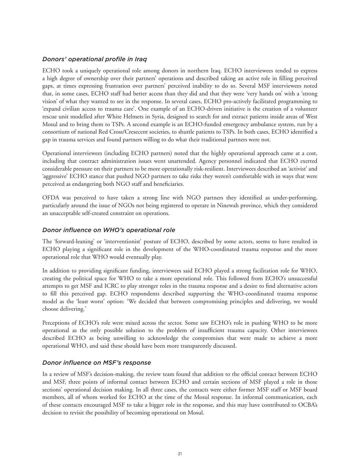#### *Donors' operational profile in Iraq*

ECHO took a uniquely operational role among donors in northern Iraq. ECHO interviewees tended to express a high degree of ownership over their partners' operations and described taking an active role in filling perceived gaps, at times expressing frustration over partners' perceived inability to do so. Several MSF interviewees noted that, in some cases, ECHO staff had better access than they did and that they were 'very hands on' with a 'strong vision' of what they wanted to see in the response. In several cases, ECHO pro-actively facilitated programming to 'expand civilian access to trauma care'. One example of an ECHO-driven initiative is the creation of a volunteer rescue unit modelled after White Helmets in Syria, designed to search for and extract patients inside areas of West Mosul and to bring them to TSPs. A second example is an ECHO-funded emergency ambulance system, run by a consortium of national Red Cross/Cresecent societies, to shuttle patients to TSPs. In both cases, ECHO identified a gap in trauma services and found partners willing to do what their traditional partners were not.

Operational interviewees (including ECHO partners) noted that the highly operational approach came at a cost, including that contract administration issues went unattended. Agency personnel indicated that ECHO exerted considerable pressure on their partners to be more operationally risk-resilient. Interviewees described an 'activist' and 'aggressive' ECHO stance that pushed NGO partners to take risks they weren't comfortable with in ways that were perceived as endangering both NGO staff and beneficiaries.

OFDA was perceived to have taken a strong line with NGO partners they identified as under-performing, particularly around the issue of NGOs not being registered to operate in Ninewah province, which they considered an unacceptable self-created constraint on operations.

#### *Donor influence on WHO's operational role*

The 'forward-leaning' or 'interventionist' posture of ECHO, described by some actors, seems to have resulted in ECHO playing a significant role in the development of the WHO-coordinated trauma response and the more operational role that WHO would eventually play.

In addition to providing significant funding, interviewees said ECHO played a strong facilitation role for WHO, creating the political space for WHO to take a more operational role. This followed from ECHO's unsuccessful attempts to get MSF and ICRC to play stronger roles in the trauma response and a desire to find alternative actors to fill this perceived gap. ECHO respondents described supporting the WHO-coordinated trauma response model as the 'least worst' option: 'We decided that between compromising principles and delivering, we would choose delivering.'

Perceptions of ECHO's role were mixed across the sector. Some saw ECHO's role in pushing WHO to be more operational as the only possible solution to the problem of insufficient trauma capacity. Other interviewees described ECHO as being unwilling to acknowledge the compromises that were made to achieve a more operational WHO, and said these should have been more transparently discussed.

#### *Donor influence on MSF's response*

In a review of MSF's decision-making, the review team found that addition to the official contact between ECHO and MSF, three points of informal contact between ECHO and certain sections of MSF played a role in those sections' operational decision making. In all three cases, the contacts were either former MSF staff or MSF board members, all of whom worked for ECHO at the time of the Mosul response. In informal communication, each of these contacts encouraged MSF to take a bigger role in the response, and this may have contributed to OCBA's decision to revisit the possibility of becoming operational on Mosul.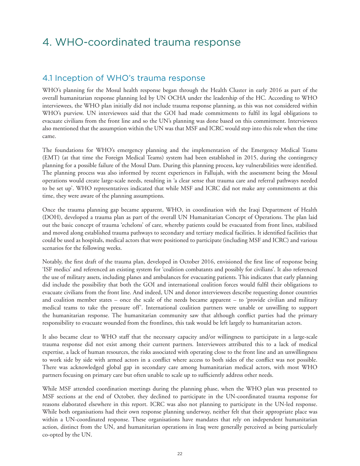# 4. WHO-coordinated trauma response

#### 4.1 Inception of WHO's trauma response

WHO's planning for the Mosul health response began through the Health Cluster in early 2016 as part of the overall humanitarian response planning led by UN OCHA under the leadership of the HC. According to WHO interviewees, the WHO plan initially did not include trauma response planning, as this was not considered within WHO's purview. UN interviewees said that the GOI had made commitments to fulfil its legal obligations to evacuate civilians from the front line and so the UN's planning was done based on this commitment. Interviewees also mentioned that the assumption within the UN was that MSF and ICRC would step into this role when the time came.

The foundations for WHO's emergency planning and the implementation of the Emergency Medical Teams (EMT) (at that time the Foreign Medical Teams) system had been established in 2015, during the contingency planning for a possible failure of the Mosul Dam. During this planning process, key vulnerabilities were identified. The planning process was also informed by recent experiences in Fallujah, with the assessment being the Mosul operations would create large-scale needs, resulting in 'a clear sense that trauma care and referral pathways needed to be set up'. WHO representatives indicated that while MSF and ICRC did not make any commitments at this time, they were aware of the planning assumptions.

Once the trauma planning gap became apparent, WHO, in coordination with the Iraqi Department of Health (DOH), developed a trauma plan as part of the overall UN Humanitarian Concept of Operations. The plan laid out the basic concept of trauma 'echelons' of care, whereby patients could be evacuated from front lines, stabilised and moved along established trauma pathways to secondary and tertiary medical facilities. It identified facilities that could be used as hospitals, medical actors that were positioned to participate (including MSF and ICRC) and various scenarios for the following weeks.

Notably, the first draft of the trauma plan, developed in October 2016, envisioned the first line of response being 'ISF medics' and referenced an existing system for 'coalition combatants and possibly for civilians'. It also referenced the use of military assets, including planes and ambulances for evacuating patients. This indicates that early planning did include the possibility that both the GOI and international coalition forces would fulfil their obligations to evacuate civilians from the front line. And indeed, UN and donor interviewees describe requesting donor countries and coalition member states – once the scale of the needs became apparent – to 'provide civilian and military medical teams to take the pressure off'. International coalition partners were unable or unwilling to support the humanitarian response. The humanitarian community saw that although conflict parties had the primary responsibility to evacuate wounded from the frontlines, this task would be left largely to humanitarian actors.

It also became clear to WHO staff that the necessary capacity and/or willingness to participate in a large-scale trauma response did not exist among their current partners. Interviewees attributed this to a lack of medical expertise, a lack of human resources, the risks associated with operating close to the front line and an unwillingness to work side by side with armed actors in a conflict where access to both sides of the conflict was not possible. There was acknowledged global gap in secondary care among humanitarian medical actors, with most WHO partners focusing on primary care but often unable to scale up to sufficiently address other needs.

While MSF attended coordination meetings during the planning phase, when the WHO plan was presented to MSF sections at the end of October, they declined to participate in the UN-coordinated trauma response for reasons elaborated elsewhere in this report. ICRC was also not planning to participate in the UN-led response. While both organisations had their own response planning underway, neither felt that their appropriate place was within a UN-coordinated response. These organisations have mandates that rely on independent humanitarian action, distinct from the UN, and humanitarian operations in Iraq were generally perceived as being particularly co-opted by the UN.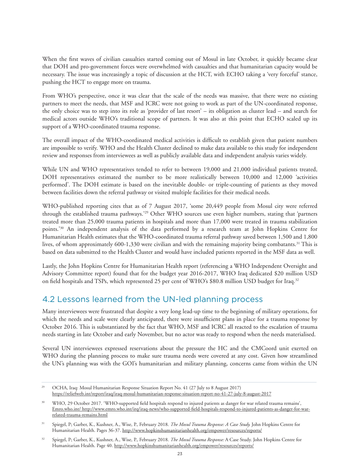When the first waves of civilian casualties started coming out of Mosul in late October, it quickly became clear that DOH and pro-government forces were overwhelmed with casualties and that humanitarian capacity would be necessary. The issue was increasingly a topic of discussion at the HCT, with ECHO taking a 'very forceful' stance, pushing the HCT to engage more on trauma.

From WHO's perspective, once it was clear that the scale of the needs was massive, that there were no existing partners to meet the needs, that MSF and ICRC were not going to work as part of the UN-coordinated response, the only choice was to step into its role as 'provider of last resort' – its obligation as cluster lead – and search for medical actors outside WHO's traditional scope of partners. It was also at this point that ECHO scaled up its support of a WHO-coordinated trauma response.

The overall impact of the WHO-coordinated medical activities is difficult to establish given that patient numbers are impossible to verify. WHO and the Health Cluster declined to make data available to this study for independent review and responses from interviewees as well as publicly available data and independent analysis varies widely.

While UN and WHO representatives tended to refer to between 19,000 and 21,000 individual patients treated, DOH representatives estimated the number to be more realistically between 10,000 and 12,000 'activities performed'. The DOH estimate is based on the inevitable double- or triple-counting of patients as they moved between facilities down the referral pathway or visited multiple facilities for their medical needs.

WHO-published reporting cites that as of 7 August 2017, 'some 20,449 people from Mosul city were referred through the established trauma pathways.'29 Other WHO sources use even higher numbers, stating that 'partners treated more than 25,000 trauma patients in hospitals and more than 17,000 were treated in trauma stabilization points.'30 An independent analysis of the data performed by a research team at John Hopkins Centre for Humanitarian Health estimates that the WHO-coordinated trauma referral pathway saved between 1,500 and 1,800 lives, of whom approximately 600-1,330 were civilian and with the remaining majority being combatants.<sup>31</sup> This is based on data submitted to the Health Cluster and would have included patients reported in the MSF data as well.

Lastly, the John Hopkins Centre for Humanitarian Health report (referencing a WHO Independent Oversight and Advisory Committee report) found that for the budget year 2016-2017, WHO Iraq dedicated \$20 million USD on field hospitals and TSPs, which represented 25 per cent of WHO's \$80.8 million USD budget for Iraq.32

## 4.2 Lessons learned from the UN-led planning process

Many interviewees were frustrated that despite a very long lead-up time to the beginning of military operations, for which the needs and scale were clearly anticipated, there were insufficient plans in place for a trauma response by October 2016. This is substantiated by the fact that WHO, MSF and ICRC all reacted to the escalation of trauma needs starting in late October and early November, but no actor was ready to respond when the needs materialised.

Several UN interviewees expressed reservations about the pressure the HC and the CMCoord unit exerted on WHO during the planning process to make sure trauma needs were covered at any cost. Given how streamlined the UN's planning was with the GOI's humanitarian and military planning, concerns came from within the UN

<sup>29</sup> OCHA, Iraq: Mosul Humanitarian Response Situation Report No. 41 (27 July to 8 August 2017) https://reliefweb.int/report/iraq/iraq-mosul-humanitarian-response-situation-report-no-41-27-july-8-august-2017

<sup>&</sup>lt;sup>30</sup> WHO, 29 October 2017. 'WHO-supported field hospitals respond to injured patients as danger for war related trauma remains', Emro.who.int/ http://www.emro.who.int/irq/iraq-news/who-supported-field-hospitals-respond-to-injured-patients-as-danger-for-warrelated-trauma-remains.html

<sup>31</sup> Spiegel, P; Garber, K., Kushner, A., Wise, P., February 2018. *The Mosul Trauma Response: A Case Study.* John Hopkins Centre for Humanitarian Health. Pages 36-37. http://www.hopkinshumanitarianhealth.org/empower/resources/reports/

<sup>32</sup> Spiegel, P; Garber, K., Kushner, A., Wise, P., February 2018. *The Mosul Trauma Response:* A Case Study. John Hopkins Centre for Humanitarian Health. Page 40. http://www.hopkinshumanitarianhealth.org/empower/resources/reports/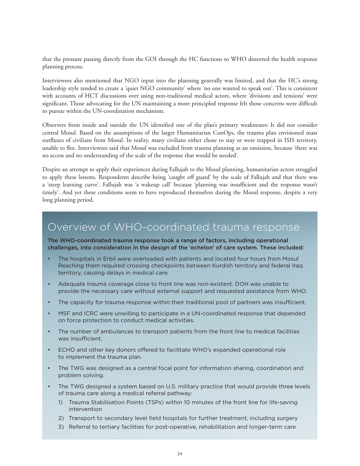that the pressure passing directly from the GOI through the HC functions to WHO distorted the health response planning process.

Interviewees also mentioned that NGO input into the planning generally was limited, and that the HC's strong leadership style tended to create a 'quiet NGO community' where 'no one wanted to speak out'. This is consistent with accounts of HCT discussions over using non-traditional medical actors, where 'divisions and tensions' were significant. Those advocating for the UN maintaining a more principled response felt those concerns were difficult to pursue within the UN-coordination mechanism.

Observers from inside and outside the UN identified one of the plan's primary weaknesses: It did not consider central Mosul. Based on the assumptions of the larger Humanitarian ConOps, the trauma plan envisioned mass outfluxes of civilians from Mosul. In reality, many civilians either chose to stay or were trapped in ISIS territory, unable to flee. Interviewees said that Mosul was excluded from trauma planning as an omission, because 'there was no access and no understanding of the scale of the response that would be needed'.

Despite an attempt to apply their experiences during Fallujah to the Mosul planning, humanitarian actors struggled to apply these lessons. Respondents describe being 'caught off guard' by the scale of Fallujah and that there was a 'steep learning curve'. Fallujah was 'a wakeup call' because 'planning was insufficient and the response wasn't timely'. And yet these conditions seem to have reproduced themselves during the Mosul response, despite a very long planning period.

## Overview of WHO-coordinated trauma response

The WHO-coordinated trauma response took a range of factors, including operational challenges, into consideration in the design of the 'echelon' of care system. These included:

- The hospitals in Erbil were overloaded with patients and located four hours from Mosul Reaching them required crossing checkpoints between Kurdish territory and federal Iraq territory, causing delays in medical care.
- Adequate trauma coverage close to front line was non-existent. DOH was unable to provide the necessary care without external support and requested assistance from WHO.
- The capacity for trauma response within their traditional pool of partners was insufficient.
- MSF and ICRC were unwilling to participate in a UN-coordinated response that depended on force protection to conduct medical activities.
- The number of ambulances to transport patients from the front line to medical facilities was insufficient.
- ECHO and other key donors offered to facilitate WHO's expanded operational role to implement the trauma plan.
- The TWG was designed as a central focal point for information sharing, coordination and problem solving.
- The TWG designed a system based on U.S. military practice that would provide three levels of trauma care along a medical referral pathway:
	- 1) Trauma Stabilisation Points (TSPs) within 10 minutes of the front line for life-saving intervention
	- 2) Transport to secondary level field hospitals for further treatment, including surgery
	- 3) Referral to tertiary facilities for post-operative, rehabilitation and longer-term care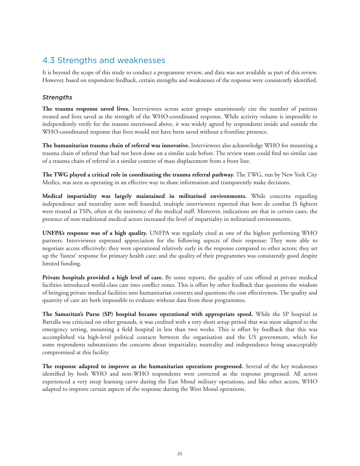## 4.3 Strengths and weaknesses

It is beyond the scope of this study to conduct a programme review, and data was not available as part of this review. However, based on respondent feedback, certain strengths and weaknesses of the response were consistently identified.

#### *Strengths*

**The trauma response saved lives.** Interviewees across actor groups unanimously cite the number of patients treated and lives saved as the strength of the WHO-coordinated response. While activity volume is impossible to independently verify for the reasons mentioned above, it was widely agreed by respondents inside and outside the WHO-coordinated response that lives would not have been saved without a frontline presence.

**The humanitarian trauma chain of referral was innovative.** Interviewees also acknowledge WHO for mounting a trauma chain of referral that had not been done on a similar scale before. The review team could find no similar case of a trauma chain of referral in a similar context of mass displacement from a front line.

**The TWG played a critical role in coordinating the trauma referral pathway.** The TWG, run by New York City Medics, was seen as operating in an effective way to share information and transparently make decisions.

**Medical impartiality was largely maintained in militarised environments.** While concerns regarding independence and neutrality seem well founded, multiple interviewees reported that hors de combat IS fighters were treated at TSPs, often at the insistence of the medical staff. Moreover, indications are that in certain cases, the presence of non-traditional medical actors increased the level of impartiality in militarized environments.

**UNFPA's response was of a high quality.** UNFPA was regularly cited as one of the highest performing WHO partners. Interviewees expressed appreciation for the following aspects of their response: They were able to negotiate access effectively; they were operational relatively early in the response compared to other actors; they set up the 'fastest' response for primary health care; and the quality of their programmes was consistently good despite limited funding.

**Private hospitals provided a high level of care.** By some reports, the quality of care offered at private medical facilities introduced world-class care into conflict zones. This is offset by other feedback that questions the wisdom of bringing private medical facilities into humanitarian contexts and questions the cost effectiveness. The quality and quantity of care are both impossible to evaluate without data from these programmes.

**The Samaritan's Purse (SP) hospital became operational with appropriate speed.** While the SP hospital in Bartalla was criticised on other grounds, it was credited with a very short setup period that was more adapted to the emergency setting, mounting a field hospital in less than two weeks. This is offset by feedback that this was accomplished via high-level political contacts between the organisation and the US government, which for some respondents substantiates the concerns about impartiality, neutrality and independence being unacceptably compromised at this facility.

**The response adapted to improve as the humanitarian operations progressed.** Several of the key weaknesses identified by both WHO and non-WHO respondents were corrected as the response progressed. All actors experienced a very steep learning curve during the East Mosul military operations, and like other actors, WHO adapted to improve certain aspects of the response during the West Mosul operations.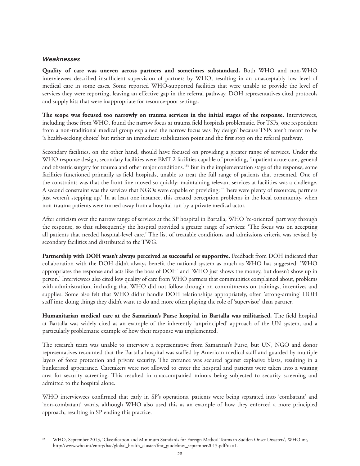#### *Weaknesses*

**Quality of care was uneven across partners and sometimes substandard.** Both WHO and non-WHO interviewees described insufficient supervision of partners by WHO, resulting in an unacceptably low level of medical care in some cases. Some reported WHO-supported facilities that were unable to provide the level of services they were reporting, leaving an effective gap in the referral pathway. DOH representatives cited protocols and supply kits that were inappropriate for resource-poor settings.

**The scope was focused too narrowly on trauma services in the initial stages of the response.** Interviewees, including those from WHO, found the narrow focus at trauma field hospitals problematic. For TSPs, one respondent from a non-traditional medical group explained the narrow focus was 'by design' because TSPs aren't meant to be 'a health-seeking choice' but rather an immediate stabilization point and the first stop on the referral pathway.

Secondary facilities, on the other hand, should have focused on providing a greater range of services. Under the WHO response design, secondary facilities were EMT-2 facilities capable of providing, 'inpatient acute care, general and obstetric surgery for trauma and other major conditions.'33 But in the implementation stage of the response, some facilities functioned primarily as field hospitals, unable to treat the full range of patients that presented. One of the constraints was that the front line moved so quickly: maintaining relevant services at facilities was a challenge. A second constraint was the services that NGOs were capable of providing: 'There were plenty of resources, partners just weren't stepping up.' In at least one instance, this created perception problems in the local community, when non-trauma patients were turned away from a hospital run by a private medical actor.

After criticism over the narrow range of services at the SP hospital in Bartalla, WHO 're-oriented' part way through the response, so that subsequently the hospital provided a greater range of services: 'The focus was on accepting all patients that needed hospital-level care.' The list of treatable conditions and admissions criteria was revised by secondary facilities and distributed to the TWG.

**Partnership with DOH wasn't always perceived as successful or supportive.** Feedback from DOH indicated that collaboration with the DOH didn't always benefit the national system as much as WHO has suggested: 'WHO appropriates the response and acts like the boss of DOH' and 'WHO just shows the money, but doesn't show up in person.' Interviewees also cited low quality of care from WHO partners that communities complained about, problems with administration, including that WHO did not follow through on commitments on trainings, incentives and supplies. Some also felt that WHO didn't handle DOH relationships appropriately, often 'strong-arming' DOH staff into doing things they didn't want to do and more often playing the role of 'supervisor' than partner.

**Humanitarian medical care at the Samaritan's Purse hospital in Bartalla was militarised.** The field hospital at Bartalla was widely cited as an example of the inherently 'unprincipled' approach of the UN system, and a particularly problematic example of how their response was implemented.

The research team was unable to interview a representative from Samaritan's Purse, but UN, NGO and donor representatives recounted that the Bartalla hospital was staffed by American medical staff and guarded by multiple layers of force protection and private security. The entrance was secured against explosive blasts, resulting in a bunkerised appearance. Caretakers were not allowed to enter the hospital and patients were taken into a waiting area for security screening. This resulted in unaccompanied minors being subjected to security screening and admitted to the hospital alone.

WHO interviewees confirmed that early in SP's operations, patients were being separated into 'combatant' and 'non-combatant' wards, although WHO also used this as an example of how they enforced a more principled approach, resulting in SP ending this practice.

<sup>33</sup> WHO, September 2013, 'Classification and Minimum Standards for Foreign Medical Teams in Sudden Onset Disasters', [WHO.int,](http://www.who.int/en/)  http://www.who.int/entity/hac/global\_health\_cluster/fmt\_guidelines\_september2013.pdf?ua=1.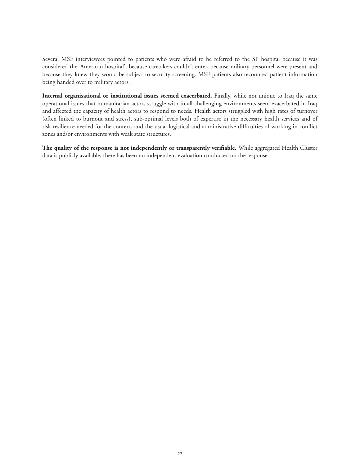Several MSF interviewees pointed to patients who were afraid to be referred to the SP hospital because it was considered the 'American hospital', because caretakers couldn't enter, because military personnel were present and because they knew they would be subject to security screening. MSF patients also recounted patient information being handed over to military actors.

**Internal organisational or institutional issues seemed exacerbated.** Finally, while not unique to Iraq the same operational issues that humanitarian actors struggle with in all challenging environments seem exacerbated in Iraq and affected the capacity of health actors to respond to needs. Health actors struggled with high rates of turnover (often linked to burnout and stress), sub-optimal levels both of expertise in the necessary health services and of risk-resilience needed for the context, and the usual logistical and administrative difficulties of working in conflict zones and/or environments with weak state structures.

**The quality of the response is not independently or transparently verifiable.** While aggregated Health Cluster data is publicly available, there has been no independent evaluation conducted on the response.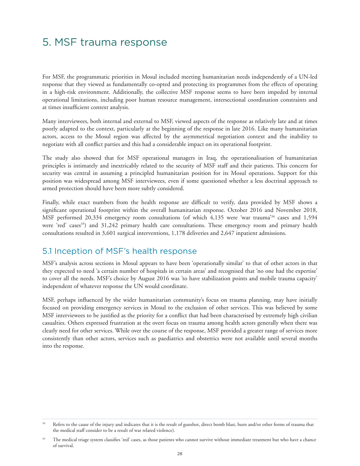## 5. MSF trauma response

For MSF, the programmatic priorities in Mosul included meeting humanitarian needs independently of a UN-led response that they viewed as fundamentally co-opted and protecting its programmes from the effects of operating in a high-risk environment. Additionally, the collective MSF response seems to have been impeded by internal operational limitations, including poor human resource management, intersectional coordination constraints and at times insufficient context analysis.

Many interviewees, both internal and external to MSF, viewed aspects of the response as relatively late and at times poorly adapted to the context, particularly at the beginning of the response in late 2016. Like many humanitarian actors, access to the Mosul region was affected by the asymmetrical negotiation context and the inability to negotiate with all conflict parties and this had a considerable impact on its operational footprint.

The study also showed that for MSF operational managers in Iraq, the operationalisation of humanitarian principles is intimately and inextricably related to the security of MSF staff and their patients. This concern for security was central in assuming a principled humanitarian position for its Mosul operations. Support for this position was widespread among MSF interviewees, even if some questioned whether a less doctrinal approach to armed protection should have been more subtly considered.

Finally, while exact numbers from the health response are difficult to verify, data provided by MSF shows a significant operational footprint within the overall humanitarian response. October 2016 and November 2018, MSF performed 20,334 emergency room consultations (of which 4,135 were 'war trauma'34 cases and 1,594 were 'red' cases<sup>35</sup>) and 31,242 primary health care consultations. These emergency room and primary health consultations resulted in 3,601 surgical interventions, 1,178 deliveries and 2,647 inpatient admissions.

#### 5.1 Inception of MSF's health response

MSF's analysis across sections in Mosul appears to have been 'operationally similar' to that of other actors in that they expected to need 'a certain number of hospitals in certain areas' and recognised that 'no one had the expertise' to cover all the needs. MSF's choice by August 2016 was 'to have stabilization points and mobile trauma capacity' independent of whatever response the UN would coordinate.

MSF, perhaps influenced by the wider humanitarian community's focus on trauma planning, may have initially focused on providing emergency services in Mosul to the exclusion of other services. This was believed by some MSF interviewees to be justified as the priority for a conflict that had been characterised by extremely high civilian casualties. Others expressed frustration at the overt focus on trauma among health actors generally when there was clearly need for other services. While over the course of the response, MSF provided a greater range of services more consistently than other actors, services such as paediatrics and obstetrics were not available until several months into the response.

<sup>&</sup>lt;sup>34</sup> Refers to the cause of the injury and indicates that it is the result of gunshot, direct bomb blast, burn and/or other forms of trauma that the medical staff consider to be a result of war related violence).

<sup>&</sup>lt;sup>35</sup> The medical triage system classifies 'red' cases, as those patients who cannot survive without immediate treatment but who have a chance of survival.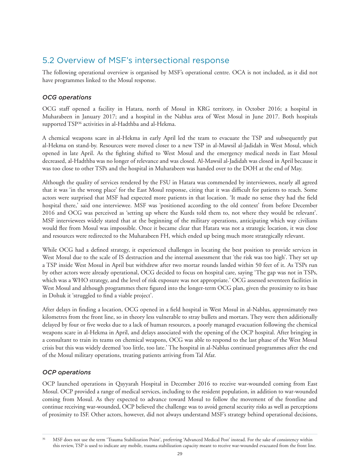## 5.2 Overview of MSF's intersectional response

The following operational overview is organised by MSF's operational centre. OCA is not included, as it did not have programmes linked to the Mosul response.

#### *OCG operations*

OCG staff opened a facility in Hatara, north of Mosul in KRG territory, in October 2016; a hospital in Muharabeen in January 2017; and a hospital in the Nablus area of West Mosul in June 2017. Both hospitals supported TSP<sup>36</sup> activities in al-Hadthba and al-Hekma.

A chemical weapons scare in al-Hekma in early April led the team to evacuate the TSP and subsequently put al-Hekma on stand-by. Resources were moved closer to a new TSP in al-Mawsil al-Jadidah in West Mosul, which opened in late April. As the fighting shifted to West Mosul and the emergency medical needs in East Mosul decreased, al-Hadthba was no longer of relevance and was closed. Al-Mawsil al-Jadidah was closed in April because it was too close to other TSPs and the hospital in Muharabeen was handed over to the DOH at the end of May.

Although the quality of services rendered by the FSU in Hatara was commended by interviewees, nearly all agreed that it was 'in the wrong place' for the East Mosul response, citing that it was difficult for patients to reach. Some actors were surprised that MSF had expected more patients in that location. 'It made no sense they had the field hospital there,' said one interviewee. MSF was 'positioned according to the old context' from before December 2016 and OCG was perceived as 'setting up where the Kurds told them to, not where they would be relevant'. MSF interviewees widely stated that at the beginning of the military operations, anticipating which way civilians would flee from Mosul was impossible. Once it became clear that Hatara was not a strategic location, it was close and resources were redirected to the Muharabeen FH, which ended up being much more strategically relevant.

While OCG had a defined strategy, it experienced challenges in locating the best position to provide services in West Mosul due to the scale of IS destruction and the internal assessment that 'the risk was too high'. They set up a TSP inside West Mosul in April but withdrew after two mortar rounds landed within 50 feet of it. As TSPs run by other actors were already operational, OCG decided to focus on hospital care, saying 'The gap was not in TSPs, which was a WHO strategy, and the level of risk exposure was not appropriate.' OCG assessed seventeen facilities in West Mosul and although programmes there figured into the longer-term OCG plan, given the proximity to its base in Dohuk it 'struggled to find a viable project'.

After delays in finding a location, OCG opened in a field hospital in West Mosul in al-Nablus, approximately two kilometres from the front line, so in theory less vulnerable to stray bullets and mortars. They were then additionally delayed by four or five weeks due to a lack of human resources, a poorly managed evacuation following the chemical weapons scare in al-Hekma in April, and delays associated with the opening of the OCP hospital. After bringing in a consultant to train its teams on chemical weapons, OCG was able to respond to the last phase of the West Mosul crisis but this was widely deemed 'too little, too late.' The hospital in al-Nablus continued programmes after the end of the Mosul military operations, treating patients arriving from Tal Afar.

#### *OCP operations*

OCP launched operations in Qayyarah Hospital in December 2016 to receive war-wounded coming from East Mosul. OCP provided a range of medical services, including to the resident population, in addition to war-wounded coming from Mosul. As they expected to advance toward Mosul to follow the movement of the frontline and continue receiving war-wounded, OCP believed the challenge was to avoid general security risks as well as perceptions of proximity to ISF. Other actors, however, did not always understand MSF's strategy behind operational decisions,

<sup>36</sup> MSF does not use the term 'Trauma Stabilization Point', preferring 'Advanced Medical Post' instead. For the sake of consistency within this review, TSP is used to indicate any mobile, trauma stabilization capacity meant to receive war-wounded evacuated from the front line.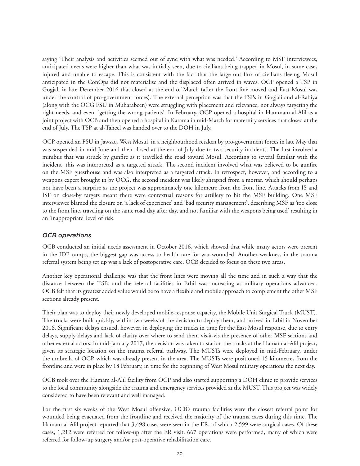saying 'Their analysis and activities seemed out of sync with what was needed.' According to MSF interviewees, anticipated needs were higher than what was initially seen, due to civilians being trapped in Mosul, in some cases injured and unable to escape. This is consistent with the fact that the large out flux of civilians fleeing Mosul anticipated in the ConOps did not materialise and the displaced often arrived in waves. OCP opened a TSP in Gogjali in late December 2016 that closed at the end of March (after the front line moved and East Mosul was under the control of pro-government forces). The external perception was that the TSPs in Gogjali and al-Rabiya (along with the OCG FSU in Muharabeen) were struggling with placement and relevance, not always targeting the right needs, and even 'getting the wrong patients'. In February, OCP opened a hospital in Hammam al-Alil as a joint project with OCB and then opened a hospital in Karama in mid-March for maternity services that closed at the end of July. The TSP at al-Taheel was handed over to the DOH in July.

OCP opened an FSU in Jawsaq, West Mosul, in a neighbourhood retaken by pro-government forces in late May that was suspended in mid-June and then closed at the end of July due to two security incidents. The first involved a minibus that was struck by gunfire as it travelled the road toward Mosul. According to several familiar with the incident, this was interpreted as a targeted attack. The second incident involved what was believed to be gunfire on the MSF guesthouse and was also interpreted as a targeted attack. In retrospect, however, and according to a weapons expert brought in by OCG, the second incident was likely shrapnel from a mortar, which should perhaps not have been a surprise as the project was approximately one kilometre from the front line. Attacks from IS and ISF on close-by targets meant there were contextual reasons for artillery to hit the MSF building. One MSF interviewee blamed the closure on 'a lack of experience' and 'bad security management', describing MSF as 'too close to the front line, traveling on the same road day after day, and not familiar with the weapons being used' resulting in an 'inappropriate' level of risk.

#### *OCB operations*

OCB conducted an initial needs assessment in October 2016, which showed that while many actors were present in the IDP camps, the biggest gap was access to health care for war-wounded. Another weakness in the trauma referral system being set up was a lack of postoperative care. OCB decided to focus on these two areas.

Another key operational challenge was that the front lines were moving all the time and in such a way that the distance between the TSPs and the referral facilities in Erbil was increasing as military operations advanced. OCB felt that its greatest added value would be to have a flexible and mobile approach to complement the other MSF sections already present.

Their plan was to deploy their newly developed mobile-response capacity, the Mobile Unit Surgical Truck (MUST). The trucks were built quickly, within two weeks of the decision to deploy them, and arrived in Erbil in November 2016. Significant delays ensued, however, in deploying the trucks in time for the East Mosul response, due to entry delays, supply delays and lack of clarity over where to send them vis-à-vis the presence of other MSF sections and other external actors. In mid-January 2017, the decision was taken to station the trucks at the Hamam al-Alil project, given its strategic location on the trauma referral pathway. The MUSTs were deployed in mid-February, under the umbrella of OCP, which was already present in the area. The MUSTs were positioned 15 kilometres from the frontline and were in place by 18 February, in time for the beginning of West Mosul military operations the next day.

OCB took over the Hamam al-Alil facility from OCP and also started supporting a DOH clinic to provide services to the local community alongside the trauma and emergency services provided at the MUST. This project was widely considered to have been relevant and well managed.

For the first six weeks of the West Mosul offensive, OCB's trauma facilities were the closest referral point for wounded being evacuated from the frontline and received the majority of the trauma cases during this time. The Hamam al-Alil project reported that 3,498 cases were seen in the ER, of which 2,599 were surgical cases. Of these cases, 1,212 were referred for follow-up after the ER visit. 667 operations were performed, many of which were referred for follow-up surgery and/or post-operative rehabilitation care.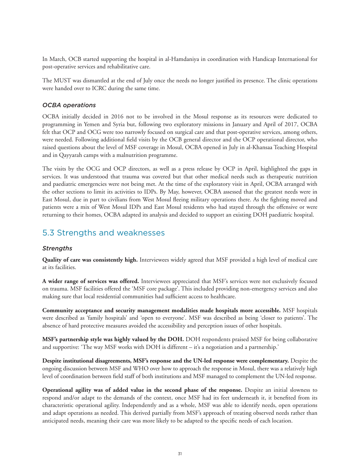In March, OCB started supporting the hospital in al-Hamdaniya in coordination with Handicap International for post-operative services and rehabilitative care.

The MUST was dismantled at the end of July once the needs no longer justified its presence. The clinic operations were handed over to ICRC during the same time.

#### *OCBA operations*

OCBA initially decided in 2016 not to be involved in the Mosul response as its resources were dedicated to programming in Yemen and Syria but, following two exploratory missions in January and April of 2017, OCBA felt that OCP and OCG were too narrowly focused on surgical care and that post-operative services, among others, were needed. Following additional field visits by the OCB general director and the OCP operational director, who raised questions about the level of MSF coverage in Mosul, OCBA opened in July in al-Khansaa Teaching Hospital and in Qayyarah camps with a malnutrition programme.

The visits by the OCG and OCP directors, as well as a press release by OCP in April, highlighted the gaps in services. It was understood that trauma was covered but that other medical needs such as therapeutic nutrition and paediatric emergencies were not being met. At the time of the exploratory visit in April, OCBA arranged with the other sections to limit its activities to IDPs. By May, however, OCBA assessed that the greatest needs were in East Mosul, due in part to civilians from West Mosul fleeing military operations there. As the fighting moved and patients were a mix of West Mosul IDPs and East Mosul residents who had stayed through the offensive or were returning to their homes, OCBA adapted its analysis and decided to support an existing DOH paediatric hospital.

## 5.3 Strengths and weaknesses

#### *Strengths*

**Quality of care was consistently high.** Interviewees widely agreed that MSF provided a high level of medical care at its facilities.

**A wider range of services was offered.** Interviewees appreciated that MSF's services were not exclusively focused on trauma. MSF facilities offered the 'MSF core package'. This included providing non-emergency services and also making sure that local residential communities had sufficient access to healthcare.

**Community acceptance and security management modalities made hospitals more accessible.** MSF hospitals were described as 'family hospitals' and 'open to everyone'. MSF was described as being 'closer to patients'. The absence of hard protective measures avoided the accessibility and perception issues of other hospitals.

**MSF's partnership style was highly valued by the DOH.** DOH respondents praised MSF for being collaborative and supportive: 'The way MSF works with DOH is different – it's a negotiation and a partnership.'

**Despite institutional disagreements, MSF's response and the UN-led response were complementary.** Despite the ongoing discussion between MSF and WHO over how to approach the response in Mosul, there was a relatively high level of coordination between field staff of both institutions and MSF managed to complement the UN-led response.

**Operational agility was of added value in the second phase of the response.** Despite an initial slowness to respond and/or adapt to the demands of the context, once MSF had its feet underneath it, it benefited from its characteristic operational agility. Independently and as a whole, MSF was able to identify needs, open operations and adapt operations as needed. This derived partially from MSF's approach of treating observed needs rather than anticipated needs, meaning their care was more likely to be adapted to the specific needs of each location.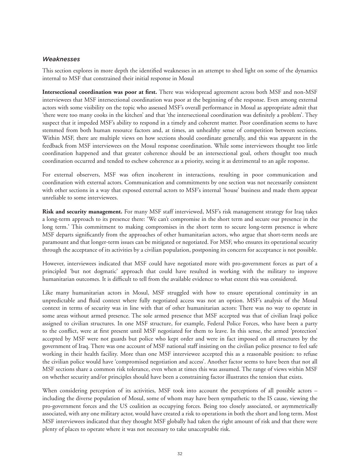#### *Weaknesses*

This section explores in more depth the identified weaknesses in an attempt to shed light on some of the dynamics internal to MSF that constrained their initial response in Mosul

**Intersectional coordination was poor at first.** There was widespread agreement across both MSF and non-MSF interviewees that MSF intersectional coordination was poor at the beginning of the response. Even among external actors with some visibility on the topic who assessed MSF's overall performance in Mosul as appropriate admit that 'there were too many cooks in the kitchen' and that 'the intersectional coordination was definitely a problem'. They suspect that it impeded MSF's ability to respond in a timely and coherent matter. Poor coordination seems to have stemmed from both human resource factors and, at times, an unhealthy sense of competition between sections. Within MSF, there are multiple views on how sections should coordinate generally, and this was apparent in the feedback from MSF interviewees on the Mosul response coordination. While some interviewees thought too little coordination happened and that greater coherence should be an intersectional goal, others thought too much coordination occurred and tended to eschew coherence as a priority, seeing it as detrimental to an agile response.

For external observers, MSF was often incoherent in interactions, resulting in poor communication and coordination with external actors. Communication and commitments by one section was not necessarily consistent with other sections in a way that exposed external actors to MSF's internal 'house' business and made them appear unreliable to some interviewees.

**Risk and security management.** For many MSF staff interviewed, MSF's risk management strategy for Iraq takes a long-term approach to its presence there: 'We can't compromise in the short term and secure our presence in the long term.' This commitment to making compromises in the short term to secure long-term presence is where MSF departs significantly from the approaches of other humanitarian actors, who argue that short-term needs are paramount and that longer-term issues can be mitigated or negotiated. For MSF, who ensures its operational security through the acceptance of its activities by a civilian population, postponing its concern for acceptance is not possible.

However, interviewees indicated that MSF could have negotiated more with pro-government forces as part of a principled 'but not dogmatic' approach that could have resulted in working with the military to improve humanitarian outcomes. It is difficult to tell from the available evidence to what extent this was considered.

Like many humanitarian actors in Mosul, MSF struggled with how to ensure operational continuity in an unpredictable and fluid context where fully negotiated access was not an option. MSF's analysis of the Mosul context in terms of security was in line with that of other humanitarian actors: There was no way to operate in some areas without armed presence. The sole armed presence that MSF accepted was that of civilian Iraqi police assigned to civilian structures. In one MSF structure, for example, Federal Police Forces, who have been a party to the conflict, were at first present until MSF negotiated for them to leave. In this sense, the armed 'protection' accepted by MSF were not guards but police who kept order and were in fact imposed on all structures by the government of Iraq. There was one account of MSF national staff insisting on the civilian police presence to feel safe working in their health facility. More than one MSF interviewee accepted this as a reasonable position: to refuse the civilian police would have 'compromised negotiation and access'. Another factor seems to have been that not all MSF sections share a common risk tolerance, even when at times this was assumed. The range of views within MSF on whether security and/or principles should have been a constraining factor illustrates the tension that exists.

When considering perception of its activities, MSF took into account the perceptions of all possible actors – including the diverse population of Mosul, some of whom may have been sympathetic to the IS cause, viewing the pro-government forces and the US coalition as occupying forces. Being too closely associated, or asymmetrically associated, with any one military actor, would have created a risk to operations in both the short and long term. Most MSF interviewees indicated that they thought MSF globally had taken the right amount of risk and that there were plenty of places to operate where it was not necessary to take unacceptable risk.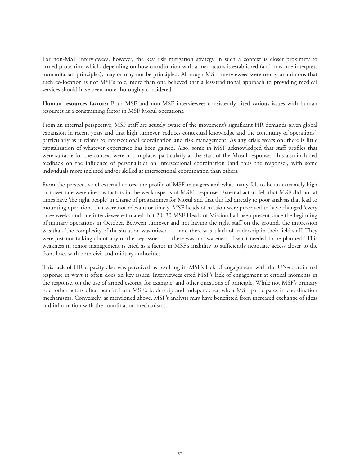For non-MSF interviewees, however, the key risk mitigation strategy in such a context is closer proximity to armed protection which, depending on how coordination with armed actors is established (and how one interprets humanitarian principles), may or may not be principled. Although MSF interviewees were nearly unanimous that such co-location is not MSF's role, more than one believed that a less-traditional approach to providing medical services should have been more thoroughly considered.

**Human resources factors:** Both MSF and non-MSF interviewees consistently cited various issues with human resources as a constraining factor in MSF Mosul operations.

From an internal perspective, MSF staff are acutely aware of the movement's significant HR demands given global expansion in recent years and that high turnover 'reduces contextual knowledge and the continuity of operations', particularly as it relates to intersectional coordination and risk management. As any crisis wears on, there is little capitalization of whatever experience has been gained. Also, some in MSF acknowledged that staff profiles that were suitable for the context were not in place, particularly at the start of the Mosul response. This also included feedback on the influence of personalities on intersectional coordination (and thus the response), with some individuals more inclined and/or skilled at intersectional coordination than others.

From the perspective of external actors, the profile of MSF managers and what many felt to be an extremely high turnover rate were cited as factors in the weak aspects of MSF's response. External actors felt that MSF did not at times have 'the right people' in charge of programmes for Mosul and that this led directly to poor analysis that lead to mounting operations that were not relevant or timely. MSF heads of mission were perceived to have changed 'every three weeks' and one interviewee estimated that 20–30 MSF Heads of Mission had been present since the beginning of military operations in October. Between turnover and not having the right staff on the ground, the impression was that, 'the complexity of the situation was missed . . . and there was a lack of leadership in their field staff. They were just not talking about any of the key issues . . . there was no awareness of what needed to be planned.' This weakness in senior management is cited as a factor in MSF's inability to sufficiently negotiate access closer to the front lines with both civil and military authorities.

This lack of HR capacity also was perceived as resulting in MSF's lack of engagement with the UN-coordinated response in ways it often does on key issues. Interviewees cited MSF's lack of engagement at critical moments in the response, on the use of armed escorts, for example, and other questions of principle. While not MSF's primary role, other actors often benefit from MSF's leadership and independence when MSF participates in coordination mechanisms. Conversely, as mentioned above, MSF's analysis may have benefitted from increased exchange of ideas and information with the coordination mechanisms.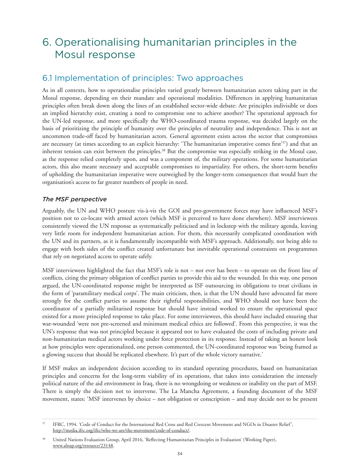# 6. Operationalising humanitarian principles in the Mosul response

## 6.1 Implementation of principles: Two approaches

As in all contexts, how to operationalise principles varied greatly between humanitarian actors taking part in the Mosul response, depending on their mandate and operational modalities. Differences in applying humanitarian principles often break down along the lines of an established sector-wide debate: Are principles indivisible or does an implied hierarchy exist, creating a need to compromise one to achieve another? The operational approach for the UN-led response, and more specifically the WHO-coordinated trauma response, was decided largely on the basis of prioritizing the principle of humanity over the principles of neutrality and independence. This is not an uncommon trade-off faced by humanitarian actors. General agreement exists across the sector that compromises are necessary (at times according to an explicit hierarchy: 'The humanitarian imperative comes first'37) and that an inherent tension can exist between the principles.<sup>38</sup> But the compromise was especially striking in the Mosul case, as the response relied completely upon, and was a component of, the military operations. For some humanitarian actors, this also meant necessary and acceptable compromises to impartiality. For others, the short-term benefits of upholding the humanitarian imperative were outweighed by the longer-term consequences that would hurt the organisation's access to far greater numbers of people in need.

#### *The MSF perspective*

Arguably, the UN and WHO posture vis-à-vis the GOI and pro-government forces may have influenced MSF's position not to co-locate with armed actors (which MSF is perceived to have done elsewhere). MSF interviewees consistently viewed the UN response as systematically politicised and in lockstep with the military agenda, leaving very little room for independent humanitarian action. For them, this necessarily complicated coordination with the UN and its partners, as it is fundamentally incompatible with MSF's approach. Additionally, not being able to engage with both sides of the conflict created unfortunate but inevitable operational constraints on programmes that rely on negotiated access to operate safely.

MSF interviewees highlighted the fact that MSF's role is not – nor ever has been – to operate on the front line of conflicts, citing the primary obligation of conflict parties to provide this aid to the wounded. In this way, one person argued, the UN-coordinated response might be interpreted as ISF outsourcing its obligations to treat civilians in the form of 'paramilitary medical corps'. The main criticism, then, is that the UN should have advocated far more strongly for the conflict parties to assume their rightful responsibilities, and WHO should not have been the coordinator of a partially militarised response but should have instead worked to ensure the operational space existed for a more principled response to take place. For some interviewees, this should have included ensuring that war-wounded 'were not pre-screened and minimum medical ethics are followed'. From this perspective, it was the UN's response that was not principled because it appeared not to have evaluated the costs of including private and non-humanitarian medical actors working under force protection in its response. Instead of taking an honest look at how principles were operationalized, one person commented, the UN-coordinated response was 'being framed as a glowing success that should be replicated elsewhere. It's part of the whole victory narrative.'

If MSF makes an independent decision according to its standard operating procedures, based on humanitarian principles and concerns for the long-term viability of its operations, that takes into consideration the intensely political nature of the aid environment in Iraq, there is no wrongdoing or weakness or inability on the part of MSF. There is simply the decision not to intervene. The La Mancha Agreement, a founding document of the MSF movement, states: 'MSF intervenes by choice – not obligation or conscription – and may decide not to be present

<sup>37</sup> IFRC, 1994. 'Code of Conduct for the International Red Cross and Red Crescent Movement and NGOs in Disaster Relief', http://media.ifrc.org/ifrc/who-we-are/the-movement/code-of-conduct/.

<sup>38</sup> United Nations Evaluation Group, April 2016, 'Reflecting Humanitarian Principles in Evaluation' (Working Paper), www.alnap.org/resource/23148.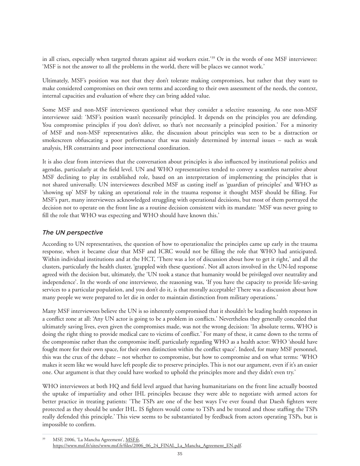in all crises, especially when targeted threats against aid workers exist.'39 Or in the words of one MSF interviewee: 'MSF is not the answer to all the problems in the world, there will be places we cannot work.'

Ultimately, MSF's position was not that they don't tolerate making compromises, but rather that they want to make considered compromises on their own terms and according to their own assessment of the needs, the context, internal capacities and evaluation of where they can bring added value.

Some MSF and non-MSF interviewees questioned what they consider a selective reasoning. As one non-MSF interviewee said: 'MSF's position wasn't necessarily principled. It depends on the principles you are defending. You compromise principles if you don't deliver, so that's not necessarily a principled position.' For a minority of MSF and non-MSF representatives alike, the discussion about principles was seen to be a distraction or smokescreen obfuscating a poor performance that was mainly determined by internal issues – such as weak analysis, HR constraints and poor intersectional coordination.

It is also clear from interviews that the conversation about principles is also influenced by institutional politics and agendas, particularly at the field level. UN and WHO representatives tended to convey a seamless narrative about MSF declining to play its established role, based on an interpretation of implementing the principles that is not shared universally. UN interviewees described MSF as casting itself as 'guardian of principles' and WHO as 'showing up' MSF by taking an operational role in the trauma response it thought MSF should be filling. For MSF's part, many interviewees acknowledged struggling with operational decisions, but most of them portrayed the decision not to operate on the front line as a routine decision consistent with its mandate: 'MSF was never going to fill the role that WHO was expecting and WHO should have known this.'

#### *The UN perspective*

According to UN representatives, the question of how to operationalize the principles came up early in the trauma response, when it became clear that MSF and ICRC would not be filling the role that WHO had anticipated. Within individual institutions and at the HCT, 'There was a lot of discussion about how to get it right,' and all the clusters, particularly the health cluster, 'grappled with these questions'. Not all actors involved in the UN-led response agreed with the decision but, ultimately, the 'UN took a stance that humanity would be privileged over neutrality and independence'. In the words of one interviewee, the reasoning was, 'If you have the capacity to provide life-saving services to a particular population, and you don't do it, is that morally acceptable? There was a discussion about how many people we were prepared to let die in order to maintain distinction from military operations.'

Many MSF interviewees believe the UN is so inherently compromised that it shouldn't be leading health responses in a conflict zone at all: 'Any UN actor is going to be a problem in conflicts.' Nevertheless they generally conceded that ultimately saving lives, even given the compromises made, was not the wrong decision: 'In absolute terms, WHO is doing the right thing to provide medical care to victims of conflict.' For many of these, it came down to the terms of the compromise rather than the compromise itself, particularly regarding WHO as a health actor: WHO 'should have fought more for their own space, for their own distinction within the conflict space'. Indeed, for many MSF personnel, this was the crux of the debate – not whether to compromise, but how to compromise and on what terms: 'WHO makes it seem like we would have left people die to preserve principles. This is not our argument, even if it's an easier one. Our argument is that they could have worked to uphold the principles more and they didn't even try.'

WHO interviewees at both HQ and field level argued that having humanitarians on the front line actually boosted the uptake of impartiality and other IHL principles because they were able to negotiate with armed actors for better practice in treating patients: 'The TSPs are one of the best ways I've ever found that Daesh fighters were protected as they should be under IHL. IS fighters would come to TSPs and be treated and those staffing the TSPs really defended this principle.' This view seems to be substantiated by feedback from actors operating TSPs, but is impossible to confirm.

<sup>39</sup> MSF, 2006, 'La Mancha Agreement', [MSF.fr,](https://www.msf.fr/)  https://www.msf.fr/sites/www.msf.fr/files/2006\_06\_24\_FINAL\_La\_Mancha\_Agreement\_EN.pdf.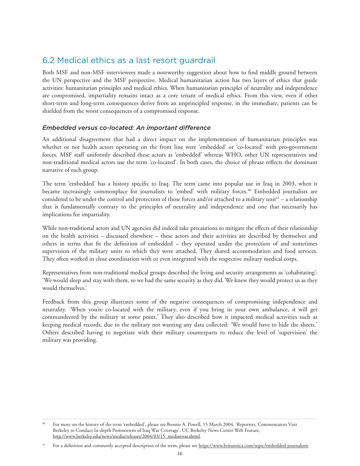## 6.2 Medical ethics as a last resort guardrail

Both MSF and non-MSF interviewees made a noteworthy suggestion about how to find middle ground between the UN perspective and the MSF perspective. Medical humanitarian action has two layers of ethics that guide activities: humanitarian principles and medical ethics. When humanitarian principles of neutrality and independence are compromised, impartiality remains intact as a core tenant of medical ethics. From this view, even if other short-term and long-term consequences derive from an unprincipled response, in the immediate, patients can be shielded from the worst consequences of a compromised response.

#### *Embedded versus co-located: An important difference*

An additional disagreement that had a direct impact on the implementation of humanitarian principles was whether or not health actors operating on the front line were 'embedded' or 'co-located' with pro-government forces. MSF staff uniformly described these actors as 'embedded' whereas WHO, other UN representatives and non-traditional medical actors use the term 'co-located'. In both cases, the choice of phrase reflects the dominant narrative of each group.

The term 'embedded' has a history specific to Iraq. The term came into popular use in Iraq in 2003, when it became increasingly commonplace for journalists to 'embed' with military forces.40 Embedded journalists are considered to be under the control and protection of those forces and/or attached to a military unit<sup>41</sup> – a relationship that is fundamentally contrary to the principles of neutrality and independence and one that necessarily has implications for impartiality.

While non-traditional actors and UN agencies did indeed take precautions to mitigate the effects of their relationship on the health activities – discussed elsewhere – these actors and their activities are described by themselves and others in terms that fit the definition of embedded – they operated under the protection of and sometimes supervision of the military units to which they were attached. They shared accommodation and food services. They often worked in close coordination with or even integrated with the respective military medical corps.

Representatives from non-traditional medical groups described the living and security arrangements as 'cohabitating': 'We would sleep and stay with them, so we had the same security as they did. We knew they would protect us as they would themselves.'

Feedback from this group illustrates some of the negative consequences of compromising independence and neutrality. 'When you're co-located with the military, even if you bring in your own ambulance, it will get commandeered by the military at some point.' They also described how it impacted medical activities such as keeping medical records, due to the military not wanting any data collected: 'We would have to hide the sheets.' Others described having to negotiate with their military counterparts to reduce the level of 'supervision' the military was providing.

<sup>&</sup>lt;sup>40</sup> For more on the history of the term 'embedded', please see Bonnie A. Powell, 15 March 2004, 'Reporters, Commentators Visit Berkeley to Conduct In-depth Postmortem of Iraq War Coverage', UC Berkeley News Center Web Feature, http://www.berkeley.edu/news/media/releases/2004/03/15\_mediatwar.shtml.

<sup>&</sup>lt;sup>41</sup> For a definition and commonly accepted description of the term, please see https://www.britannica.com/topic/embedded-journalism.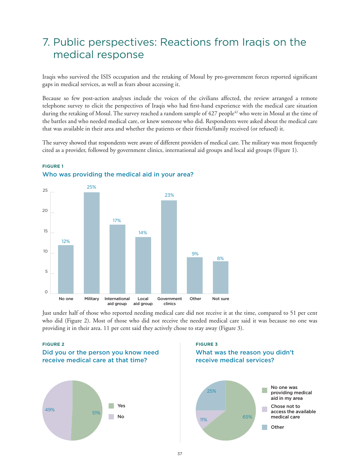# 7. Public perspectives: Reactions from Iraqis on the medical response

Iraqis who survived the ISIS occupation and the retaking of Mosul by pro-government forces reported significant gaps in medical services, as well as fears about accessing it.

Because so few post-action analyses include the voices of the civilians affected, the review arranged a remote telephone survey to elicit the perspectives of Iraqis who had first-hand experience with the medical care situation during the retaking of Mosul. The survey reached a random sample of 427 people<sup>42</sup> who were in Mosul at the time of the battles and who needed medical care, or knew someone who did. Respondents were asked about the medical care that was available in their area and whether the patients or their friends/family received (or refused) it.

The survey showed that respondents were aware of different providers of medical care. The military was most frequently cited as a provider, followed by government clinics, international aid groups and local aid groups (Figure 1).



#### **FIGURE 1** Who was providing the medical aid in your area?

Just under half of those who reported needing medical care did not receive it at the time, compared to 51 per cent who did (Figure 2). Most of those who did not receive the needed medical care said it was because no one was providing it in their area. 11 per cent said they actively chose to stay away (Figure 3).

#### **FIGURE 2 FIGURE 3**



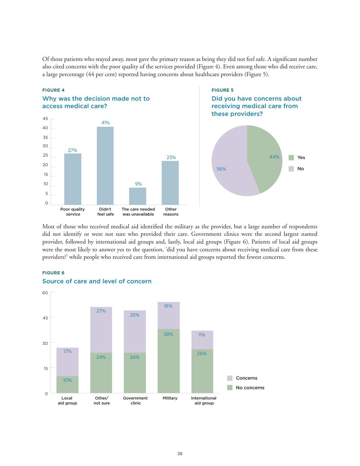Of those patients who stayed away, most gave the primary reason as being they did not feel safe. A significant number also cited concerns with the poor quality of the services provided (Figure 4). Even among those who did receive care, a large percentage (44 per cent) reported having concerns about healthcare providers (Figure 5).



# these providers? 44%  $\mathbb{R}^n$ Yes 56% No

Most of those who received medical aid identified the military as the provider, but a large number of respondents did not identify or were not sure who provided their care. Government clinics were the second largest named provider, followed by international aid groups and, lastly, local aid groups (Figure 6). Patients of local aid groups were the most likely to answer yes to the question, 'did you have concerns about receiving medical care from these providers?' while people who received care from international aid groups reported the fewest concerns.

#### **FIGURE 6**



#### Source of care and level of concern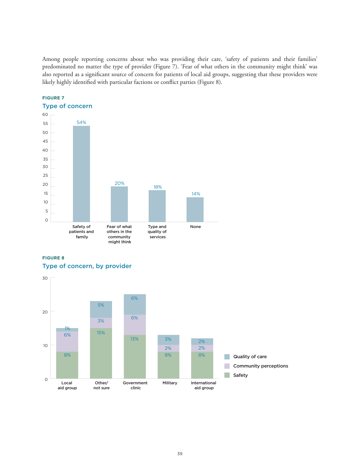Among people reporting concerns about who was providing their care, 'safety of patients and their families' predominated no matter the type of provider (Figure 7). 'Fear of what others in the community might think' was also reported as a significant source of concern for patients of local aid groups, suggesting that these providers were likely highly identified with particular factions or conflict parties (Figure 8).





#### **FIGURE 8** Type of concern, by provider

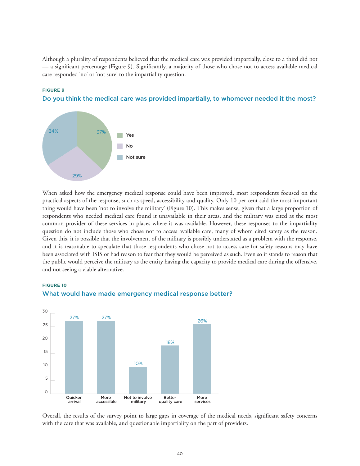Although a plurality of respondents believed that the medical care was provided impartially, close to a third did not — a significant percentage (Figure 9). Significantly, a majority of those who chose not to access available medical care responded 'no' or 'not sure' to the impartiality question.

Do you think the medical care was provided impartially, to whomever needed it the most?

# 29% 34% 37% No Yes Not sure

**FIGURE 9**

**FIGURE 10**

When asked how the emergency medical response could have been improved, most respondents focused on the practical aspects of the response, such as speed, accessibility and quality. Only 10 per cent said the most important thing would have been 'not to involve the military' (Figure 10). This makes sense, given that a large proportion of respondents who needed medical care found it unavailable in their areas, and the military was cited as the most common provider of these services in places where it was available. However, these responses to the impartiality question do not include those who chose not to access available care, many of whom cited safety as the reason. Given this, it is possible that the involvement of the military is possibly understated as a problem with the response, and it is reasonable to speculate that those respondents who chose not to access care for safety reasons may have been associated with ISIS or had reason to fear that they would be perceived as such. Even so it stands to reason that the public would perceive the military as the entity having the capacity to provide medical care during the offensive, and not seeing a viable alternative.



#### What would have made emergency medical response better?

Overall, the results of the survey point to large gaps in coverage of the medical needs, significant safety concerns with the care that was available, and questionable impartiality on the part of providers.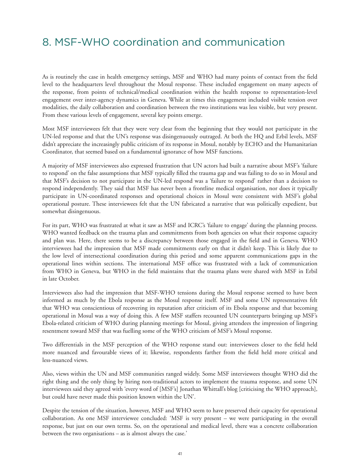# 8. MSF-WHO coordination and communication

As is routinely the case in health emergency settings, MSF and WHO had many points of contact from the field level to the headquarters level throughout the Mosul response. These included engagement on many aspects of the response, from points of technical/medical coordination within the health response to representation-level engagement over inter-agency dynamics in Geneva. While at times this engagement included visible tension over modalities, the daily collaboration and coordination between the two institutions was less visible, but very present. From these various levels of engagement, several key points emerge.

Most MSF interviewees felt that they were very clear from the beginning that they would not participate in the UN-led response and that the UN's response was disingenuously outraged. At both the HQ and Erbil levels, MSF didn't appreciate the increasingly public criticism of its response in Mosul, notably by ECHO and the Humanitarian Coordinator, that seemed based on a fundamental ignorance of how MSF functions.

A majority of MSF interviewees also expressed frustration that UN actors had built a narrative about MSF's 'failure to respond' on the false assumptions that MSF typically filled the trauma gap and was failing to do so in Mosul and that MSF's decision to not participate in the UN-led respond was a 'failure to respond' rather than a decision to respond independently. They said that MSF has never been a frontline medical organisation, nor does it typically participate in UN-coordinated responses and operational choices in Mosul were consistent with MSF's global operational posture. These interviewees felt that the UN fabricated a narrative that was politically expedient, but somewhat disingenuous.

For its part, WHO was frustrated at what it saw as MSF and ICRC's 'failure to engage' during the planning process. WHO wanted feedback on the trauma plan and commitments from both agencies on what their response capacity and plan was. Here, there seems to be a discrepancy between those engaged in the field and in Geneva. WHO interviewees had the impression that MSF made commitments early on that it didn't keep. This is likely due to the low level of intersectional coordination during this period and some apparent communications gaps in the operational lines within sections. The international MSF office was frustrated with a lack of communication from WHO in Geneva, but WHO in the field maintains that the trauma plans were shared with MSF in Erbil in late October.

Interviewees also had the impression that MSF-WHO tensions during the Mosul response seemed to have been informed as much by the Ebola response as the Mosul response itself. MSF and some UN representatives felt that WHO was conscientious of recovering its reputation after criticism of its Ebola response and that becoming operational in Mosul was a way of doing this. A few MSF staffers recounted UN counterparts bringing up MSF's Ebola-related criticism of WHO during planning meetings for Mosul, giving attendees the impression of lingering resentment toward MSF that was fuelling some of the WHO criticism of MSF's Mosul response.

Two differentials in the MSF perception of the WHO response stand out: interviewees closer to the field held more nuanced and favourable views of it; likewise, respondents farther from the field held more critical and less-nuanced views.

Also, views within the UN and MSF communities ranged widely. Some MSF interviewees thought WHO did the right thing and the only thing by hiring non-traditional actors to implement the trauma response, and some UN interviewees said they agreed with 'every word of [MSF's] Jonathan Whittall's blog [criticising the WHO approach], but could have never made this position known within the UN'.

Despite the tension of the situation, however, MSF and WHO seem to have preserved their capacity for operational collaboration. As one MSF interviewee concluded: 'MSF is very present – we were participating in the overall response, but just on our own terms. So, on the operational and medical level, there was a concrete collaboration between the two organisations – as is almost always the case.'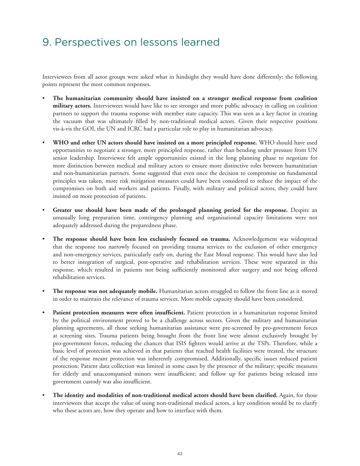# 9. Perspectives on lessons learned

Interviewees from all actor groups were asked what in hindsight they would have done differently; the following points represent the most common responses.

- **The humanitarian community should have insisted on a stronger medical response from coalition military actors.** Interviewees would have like to see stronger and more public advocacy in calling on coalition partners to support the trauma response with member state capacity. This was seen as a key factor in creating the vacuum that was ultimately filled by non-traditional medical actors. Given their respective positions vis-à-vis the GOI, the UN and ICRC had a particular role to play in humanitarian advocacy.
- **WHO and other UN actors should have insisted on a more principled response.** WHO should have used opportunities to negotiate a stronger, more principled response, rather than bending under pressure from UN senior leadership. Interviewee felt ample opportunities existed in the long planning phase to negotiate for more distinction between medical and military actors to ensure more distinctive roles between humanitarian and non-humanitarian partners. Some suggested that even once the decision to compromise on fundamental principles was taken, more risk mitigation measures could have been considered to reduce the impact of the compromises on both aid workers and patients. Finally, with military and political actors, they could have insisted on more protection of patients.
- Greater use should have been made of the prolonged planning period for the response. Despite an unusually long preparation time, contingency planning and organisational capacity limitations were not adequately addressed during the preparedness phase.
- **The response should have been less exclusively focused on trauma.** Acknowledgement was widespread that the response too narrowly focused on providing trauma services to the exclusion of other emergency and non-emergency services, particularly early on, during the East Mosul response. This would have also led to better integration of surgical, post-operative and rehabilitation services. These were separated in this response, which resulted in patients not being sufficiently monitored after surgery and not being offered rehabilitation services.
- **The response was not adequately mobile.** Humanitarian actors struggled to follow the front line as it moved in order to maintain the relevance of trauma services. More mobile capacity should have been considered.
- Patient protection measures were often insufficient. Patient protection in a humanitarian response limited by the political environment proved to be a challenge across sectors. Given the military and humanitarian planning agreements, all those seeking humanitarian assistance were pre-screened by pro-government forces at screening sites. Trauma patients being brought from the front line were almost exclusively brought by pro-government forces, reducing the chances that ISIS fighters would arrive at the TSPs. Therefore, while a basic level of protection was achieved in that patients that reached health facilities were treated, the structure of the response meant protection was inherently compromised. Additionally, specific issues reduced patient protection: Patient data collection was limited in some cases by the presence of the military; specific measures for elderly and unaccompanied minors were insufficient; and follow up for patients being released into government custody was also insufficient.
- **The identity and modalities of non-traditional medical actors should have been clarified.** Again, for those interviewees that accept the value of using non-traditional medical actors, a key condition would be to clarify who these actors are, how they operate and how to interface with them.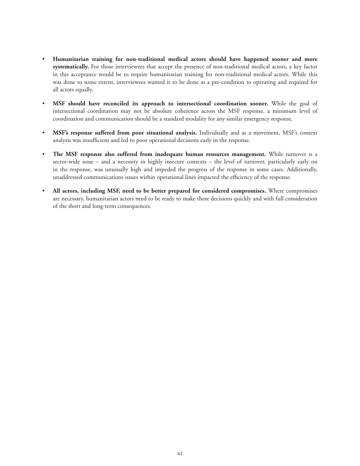- **Humanitarian training for non-traditional medical actors should have happened sooner and more systematically.** For those interviewees that accept the presence of non-traditional medical actors, a key factor in this acceptance would be to require humanitarian training for non-traditional medical actors. While this was done to some extent, interviewees wanted it to be done as a pre-condition to operating and required for all actors equally.
- **MSF should have reconciled its approach to intersectional coordination sooner.** While the goal of intersectional coordination may not be absolute coherence across the MSF response, a minimum level of coordination and communication should be a standard modality for any similar emergency response.
- **MSF's response suffered from poor situational analysis.** Individually and as a movement, MSF's context analysis was insufficient and led to poor operational decisions early in the response.
- **The MSF response also suffered from inadequate human resources management.** While turnover is a sector-wide issue – and a necessity in highly insecure contexts – the level of turnover, particularly early on in the response, was unusually high and impeded the progress of the response in some cases. Additionally, unaddressed communications issues within operational lines impacted the efficiency of the response.
- **All actors, including MSF, need to be better prepared for considered compromises.** Where compromises are necessary, humanitarian actors need to be ready to make these decisions quickly and with full consideration of the short and long-term consequences.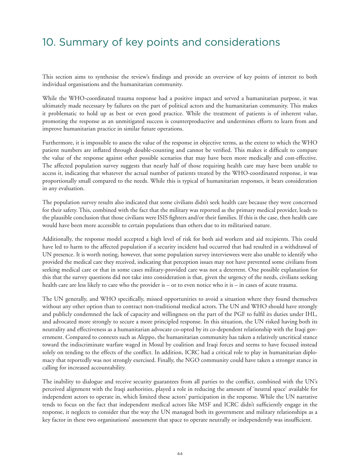# 10. Summary of key points and considerations

This section aims to synthesise the review's findings and provide an overview of key points of interest to both individual organisations and the humanitarian community.

While the WHO-coordinated trauma response had a positive impact and served a humanitarian purpose, it was ultimately made necessary by failures on the part of political actors and the humanitarian community. This makes it problematic to hold up as best or even good practice. While the treatment of patients is of inherent value, promoting the response as an unmitigated success is counterproductive and undermines efforts to learn from and improve humanitarian practice in similar future operations.

Furthermore, it is impossible to assess the value of the response in objective terms, as the extent to which the WHO patient numbers are inflated through double-counting and cannot be verified. This makes it difficult to compare the value of the response against other possible scenarios that may have been more medically and cost-effective. The affected population survey suggests that nearly half of those requiring health care may have been unable to access it, indicating that whatever the actual number of patients treated by the WHO-coordinated response, it was proportionally small compared to the needs. While this is typical of humanitarian responses, it bears consideration in any evaluation.

The population survey results also indicated that some civilians didn't seek health care because they were concerned for their safety. This, combined with the fact that the military was reported as the primary medical provider, leads to the plausible conclusion that those civilians were ISIS fighters and/or their families. If this is the case, then health care would have been more accessible to certain populations than others due to its militarised nature.

Additionally, the response model accepted a high level of risk for both aid workers and aid recipients. This could have led to harm to the affected population if a security incident had occurred that had resulted in a withdrawal of UN presence. It is worth noting, however, that some population survey interviewees were also unable to identify who provided the medical care they received, indicating that perception issues may not have prevented some civilians from seeking medical care or that in some cases military-provided care was not a deterrent. One possible explanation for this that the survey questions did not take into consideration is that, given the urgency of the needs, civilians seeking health care are less likely to care who the provider is – or to even notice who it is – in cases of acute trauma.

The UN generally, and WHO specifically, missed opportunities to avoid a situation where they found themselves without any other option than to contract non-traditional medical actors. The UN and WHO should have strongly and publicly condemned the lack of capacity and willingness on the part of the PGF to fulfil its duties under IHL, and advocated more strongly to secure a more principled response. In this situation, the UN risked having both its neutrality and effectiveness as a humanitarian advocate co-opted by its co-dependent relationship with the Iraqi government. Compared to contexts such as Aleppo, the humanitarian community has taken a relatively uncritical stance toward the indiscriminate warfare waged in Mosul by coalition and Iraqi forces and seems to have focused instead solely on tending to the effects of the conflict. In addition, ICRC had a critical role to play in humanitarian diplomacy that reportedly was not strongly exercised. Finally, the NGO community could have taken a stronger stance in calling for increased accountability.

The inability to dialogue and receive security guarantees from all parties to the conflict, combined with the UN's perceived alignment with the Iraqi authorities, played a role in reducing the amount of 'neutral space' available for independent actors to operate in, which limited these actors' participation in the response. While the UN narrative tends to focus on the fact that independent medical actors like MSF and ICRC didn't sufficiently engage in the response, it neglects to consider that the way the UN managed both its government and military relationships as a key factor in these two organisations' assessment that space to operate neutrally or independently was insufficient.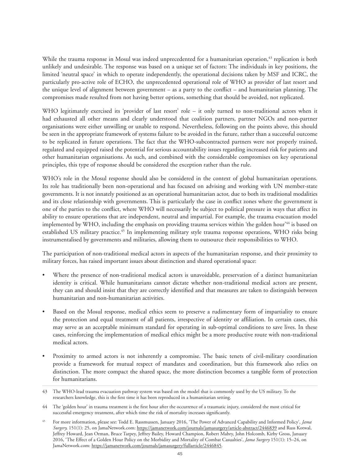While the trauma response in Mosul was indeed unprecedented for a humanitarian operation,<sup>43</sup> replication is both unlikely and undesirable. The response was based on a unique set of factors: The individuals in key positions, the limited 'neutral space' in which to operate independently, the operational decisions taken by MSF and ICRC, the particularly pro-active role of ECHO, the unprecedented operational role of WHO as provider of last resort and the unique level of alignment between government – as a party to the conflict – and humanitarian planning. The compromises made resulted from not having better options, something that should be avoided, not replicated.

WHO legitimately exercised its 'provider of last resort' role – it only turned to non-traditional actors when it had exhausted all other means and clearly understood that coalition partners, partner NGOs and non-partner organisations were either unwilling or unable to respond. Nevertheless, following on the points above, this should be seen in the appropriate framework of systems failure to be avoided in the future, rather than a successful outcome to be replicated in future operations. The fact that the WHO-subcontracted partners were not properly trained, regulated and equipped raised the potential for serious accountability issues regarding increased risk for patients and other humanitarian organisations. As such, and combined with the considerable compromises on key operational principles, this type of response should be considered the exception rather than the rule.

WHO's role in the Mosul response should also be considered in the context of global humanitarian operations. Its role has traditionally been non-operational and has focused on advising and working with UN member-state governments. It is not innately positioned as an operational humanitarian actor, due to both its traditional modalities and its close relationship with governments. This is particularly the case in conflict zones where the government is one of the parties to the conflict, where WHO will necessarily be subject to political pressure in ways that affect its ability to ensure operations that are independent, neutral and impartial. For example, the trauma evacuation model implemented by WHO, including the emphasis on providing trauma services within 'the golden hour'<sup>44</sup> is based on established US military practice.<sup>45</sup> In implementing military style trauma response operations, WHO risks being instrumentalised by governments and militaries, allowing them to outsource their responsibilities to WHO.

The participation of non-traditional medical actors in aspects of the humanitarian response, and their proximity to military forces, has raised important issues about distinction and shared operational space:

- Where the presence of non-traditional medical actors is unavoidable, preservation of a distinct humanitarian identity is critical. While humanitarians cannot dictate whether non-traditional medical actors are present, they can and should insist that they are correctly identified and that measures are taken to distinguish between humanitarian and non-humanitarian activities.
- Based on the Mosul response, medical ethics seem to preserve a rudimentary form of impartiality to ensure the protection and equal treatment of all patients, irrespective of identity or affiliation. In certain cases, this may serve as an acceptable minimum standard for operating in sub-optimal conditions to save lives. In these cases, reinforcing the implementation of medical ethics might be a more productive route with non-traditional medical actors.
- Proximity to armed actors is not inherently a compromise. The basic tenets of civil-military coordination provide a framework for mutual respect of mandates and coordination, but this framework also relies on distinction. The more compact the shared space, the more distinction becomes a tangible form of protection for humanitarians.

<sup>43</sup> The WHO-lead trauma evacuation pathway system was based on the model that is commonly used by the US military. To the researchers knowledge, this is the first time it has been reproduced in a humanitarian setting.

<sup>44</sup> The 'golden hour' in trauma treatment is the first hour after the occurrence of a traumatic injury, considered the most critical for successful emergency treatment, after which time the risk of mortality increases significantly.

<sup>45</sup> For more information, please see: Todd E. Rassmussen, January 2016, 'The Power of Advanced Capability and Informed Policy', *Jama Surgery,* 151(1): 25, on JamaNetwork.com: https://jamanetwork.com/journals/jamasurgery/article-abstract/2446839 and Russ Kotwal, Jeffrey Howard, Jean Orman, Bruce Tarpey, Jeffrey Bailey, Howard Champion, Robert Mabry, John Holcomb, Kirby Gross, January 2016, 'The Effect of a Golden Hour Policy on the Morbidity and Mortality of Combat Casualties', *Jama Surgery* 151(1): 15–24, on JamaNetwork.com: https://jamanetwork.com/journals/jamasurgery/fullarticle/2446845.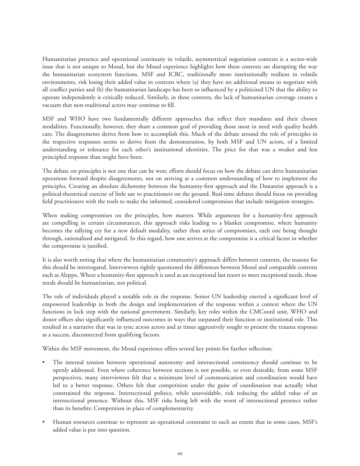Humanitarian presence and operational continuity in volatile, asymmetrical negotiation contexts is a sector-wide issue that is not unique to Mosul, but the Mosul experience highlights how these contexts are disrupting the way the humanitarian ecosystem functions. MSF and ICRC, traditionally more institutionally resilient in volatile environments, risk losing their added value in contexts where (a) they have no additional means to negotiate with all conflict parties and (b) the humanitarian landscape has been so influenced by a politicised UN that the ability to operate independently is critically reduced. Similarly, in these contexts, the lack of humanitarian coverage creates a vacuum that non-traditional actors may continue to fill.

MSF and WHO have two fundamentally different approaches that reflect their mandates and their chosen modalities. Functionally, however, they share a common goal of providing those most in need with quality health care. The disagreements derive from how to accomplish this. Much of the debate around the role of principles in the respective responses seems to derive from the demonstration, by both MSF and UN actors, of a limited understanding or tolerance for each other's institutional identities. The price for that was a weaker and less principled response than might have been.

The debate on principles is not one that can be won; efforts should focus on how the debate can drive humanitarian operations forward despite disagreements, not on arriving at a common understanding of how to implement the principles. Creating an absolute dichotomy between the humanity-first approach and the Dunantist approach is a political-theoretical exercise of little use to practitioners on the ground. Real-time debates should focus on providing field practitioners with the tools to make the informed, considered compromises that include mitigation strategies.

When making compromises on the principles, how matters. While arguments for a humanity-first approach are compelling in certain circumstances, this approach risks leading to a blanket compromise, where humanity becomes the rallying cry for a new default modality, rather than series of compromises, each one being thought through, rationalized and mitigated. In this regard, how one arrives at the compromise is a critical factor in whether the compromise is justified.

It is also worth noting that where the humanitarian community's approach differs between contexts, the reasons for this should be interrogated. Interviewees rightly questioned the differences between Mosul and comparable contexts such as Aleppo. Where a humanity-first approach is used as an exceptional last resort to meet exceptional needs, those needs should be humanitarian, not political.

The role of individuals played a notable role in the response. Senior UN leadership exerted a significant level of empowered leadership in both the design and implementation of the response within a context where the UN functions in lock step with the national government. Similarly, key roles within the CMCoord unit, WHO and donor offices also significantly influenced outcomes in ways that surpassed their function or institutional role. This resulted in a narrative that was in sync across actors and at times aggressively sought to present the trauma response as a success, disconnected from qualifying factors.

Within the MSF movement, the Mosul experience offers several key points for further reflection:

- The internal tension between operational autonomy and intersectional consistency should continue to be openly addressed. Even where coherence between sections is not possible, or even desirable, from some MSF perspectives, many interviewees felt that a minimum level of communication and coordination would have led to a better response. Others felt that competition under the guise of coordination was actually what constrained the response. Intersectional politics, while unavoidable, risk reducing the added value of an intersectional presence. Without this, MSF risks being left with the worst of intersectional presence rather than its benefits: Competition in place of complementarity.
- Human resources continue to represent an operational constraint to such an extent that in some cases, MSF's added value is put into question.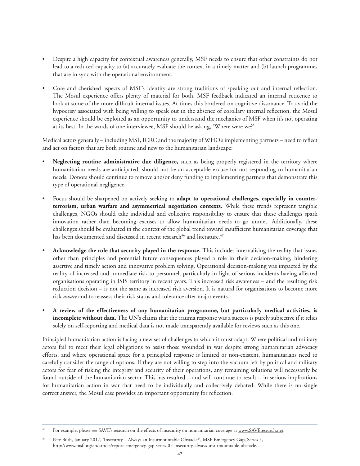- Despite a high capacity for contextual awareness generally, MSF needs to ensure that other constraints do not lead to a reduced capacity to (a) accurately evaluate the context in a timely matter and (b) launch programmes that are in sync with the operational environment.
- Core and cherished aspects of MSF's identity are strong traditions of speaking out and internal reflection. The Mosul experience offers plenty of material for both. MSF feedback indicated an internal reticence to look at some of the more difficult internal issues. At times this bordered on cognitive dissonance. To avoid the hypocrisy associated with being willing to speak out in the absence of corollary internal reflection, the Mosul experience should be exploited as an opportunity to understand the mechanics of MSF when it's not operating at its best. In the words of one interviewee, MSF should be asking, 'Where were we?'

Medical actors generally – including MSF, ICRC and the majority of WHO's implementing partners – need to reflect and act on factors that are both routine and new to the humanitarian landscape:

- **Neglecting routine administrative due diligence,** such as being properly registered in the territory where humanitarian needs are anticipated, should not be an acceptable excuse for not responding to humanitarian needs. Donors should continue to remove and/or deny funding to implementing partners that demonstrate this type of operational negligence.
- Focus should be sharpened on actively seeking to **adapt to operational challenges, especially in counterterrorism, urban warfare and asymmetrical negotiation contexts.** While these trends represent tangible challenges, NGOs should take individual and collective responsibility to ensure that these challenges spark innovation rather than becoming excuses to allow humanitarian needs to go unmet. Additionally, these challenges should be evaluated in the context of the global trend toward insufficient humanitarian coverage that has been documented and discussed in recent research<sup>46</sup> and literature.<sup>47</sup>
- **Acknowledge the role that security played in the response.** This includes internalising the reality that issues other than principles and potential future consequences played a role in their decision-making, hindering assertive and timely action and innovative problem solving. Operational decision-making was impacted by the reality of increased and immediate risk to personnel, particularly in light of serious incidents having affected organisations operating in ISIS territory in recent years. This increased risk awareness – and the resulting risk reduction decision – is not the same as increased risk aversion. It is natural for organisations to become more risk *aware* and to reassess their risk status and tolerance after major events.
- **A review of the effectiveness of any humanitarian programme, but particularly medical activities, is incomplete without data.** The UN's claims that the trauma response was a success is purely subjective if it relies solely on self-reporting and medical data is not made transparently available for reviews such as this one.

Principled humanitarian action is facing a new set of challenges to which it must adapt: Where political and military actors fail to meet their legal obligations to assist those wounded in war despite strong humanitarian advocacy efforts, and where operational space for a principled response is limited or non-existent, humanitarians need to carefully consider the range of options. If they are not willing to step into the vacuum left by political and military actors for fear of risking the integrity and security of their operations, any remaining solutions will necessarily be found outside of the humanitarian sector. This has resulted – and will continue to result – in serious implications for humanitarian action in war that need to be individually and collectively debated. While there is no single correct answer, the Mosul case provides an important opportunity for reflection.

For example, please see SAVE's research on the effects of insecurity on humanitarian coverage at www.SAVEresearch.net.

<sup>&</sup>lt;sup>47</sup> Pete Buth, January 2017, 'Insecurity – Always an Insurmountable Obstacle?', MSF Emergency Gap, Series 5, http://www.msf.org/en/article/report-emergency-gap-series-05-insecurity-always-insurmountable-obstacle.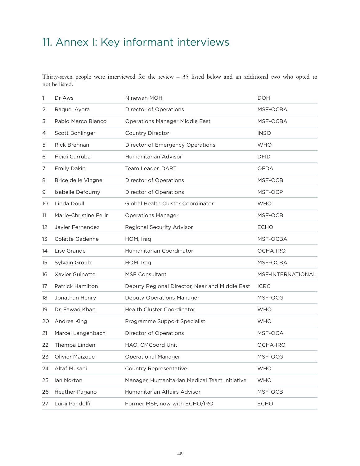# <span id="page-47-0"></span>11. Annex I: Key informant interviews

Thirty-seven people were interviewed for the review – 35 listed below and an additional two who opted to not be listed.

| 1  | Dr Aws                  | Ninewah MOH                                    | <b>DOH</b>        |
|----|-------------------------|------------------------------------------------|-------------------|
| 2  | Raquel Ayora            | Director of Operations                         | MSF-OCBA          |
| 3  | Pablo Marco Blanco      | <b>Operations Manager Middle East</b>          | MSF-OCBA          |
| 4  | Scott Bohlinger         | Country Director                               | <b>INSO</b>       |
| 5  | <b>Rick Brennan</b>     | Director of Emergency Operations               | <b>WHO</b>        |
| 6  | Heidi Carruba           | Humanitarian Advisor                           | <b>DFID</b>       |
| 7  | <b>Emily Dakin</b>      | Team Leader, DART                              | <b>OFDA</b>       |
| 8  | Brice de le Vingne      | Director of Operations                         | MSF-OCB           |
| 9  | Isabelle Defourny       | Director of Operations                         | MSF-OCP           |
| 10 | Linda Doull             | Global Health Cluster Coordinator              | <b>WHO</b>        |
| 11 | Marie-Christine Ferir   | <b>Operations Manager</b>                      | MSF-OCB           |
| 12 | Javier Fernandez        | Regional Security Advisor                      | <b>ECHO</b>       |
| 13 | Colette Gadenne         | HOM, Iraq                                      | MSF-OCBA          |
| 14 | Lise Grande             | Humanitarian Coordinator                       | <b>OCHA-IRQ</b>   |
| 15 | Sylvain Groulx          | HOM, Iraq                                      | MSF-OCBA          |
| 16 | Xavier Guinotte         | <b>MSF Consultant</b>                          | MSF-INTERNATIONAL |
| 17 | <b>Patrick Hamilton</b> | Deputy Regional Director, Near and Middle East | <b>ICRC</b>       |
| 18 | Jonathan Henry          | Deputy Operations Manager                      | MSF-OCG           |
| 19 | Dr. Fawad Khan          | Health Cluster Coordinator                     | <b>WHO</b>        |
| 20 | Andrea King             | Programme Support Specialist                   | <b>WHO</b>        |
| 21 | Marcel Langenbach       | Director of Operations                         | MSF-OCA           |
| 22 | Themba Linden           | HAO, CMCoord Unit                              | <b>OCHA-IRQ</b>   |
| 23 | Olivier Maizoue         | <b>Operational Manager</b>                     | MSF-OCG           |
| 24 | Altaf Musani            | <b>Country Representative</b>                  | <b>WHO</b>        |
| 25 | Ian Norton              | Manager, Humanitarian Medical Team Initiative  | <b>WHO</b>        |
| 26 | Heather Pagano          | Humanitarian Affairs Advisor                   | MSF-OCB           |
| 27 | Luigi Pandolfi          | Former MSF, now with ECHO/IRQ                  | <b>ECHO</b>       |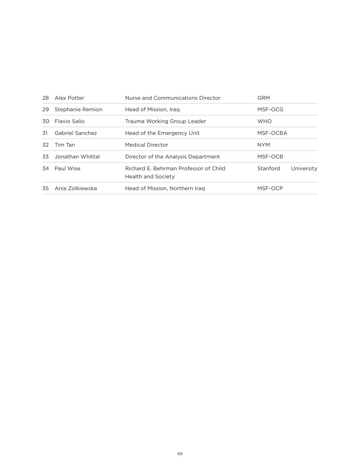| 28  | Alex Potter      | Nurse and Communications Director                           | <b>GRM</b>             |
|-----|------------------|-------------------------------------------------------------|------------------------|
| 29  | Stephanie Remion | Head of Mission, Iraq                                       | MSF-OCG                |
| 30. | Flavio Salio     | Trauma Working Group Leader                                 | <b>WHO</b>             |
| 31  | Gabriel Sanchez  | Head of the Emergency Unit                                  | MSF-OCBA               |
| 32  | Tim Tan          | <b>Medical Director</b>                                     | <b>NYM</b>             |
| 33  | Jonathan Whittal | Director of the Analysis Department                         | MSF-OCB                |
| 34  | Paul Wise        | Richard E. Behrman Professor of Child<br>Health and Society | Stanford<br>University |
| 35  | Ania Zolkiewska  | Head of Mission, Northern Iraq                              | MSF-OCP                |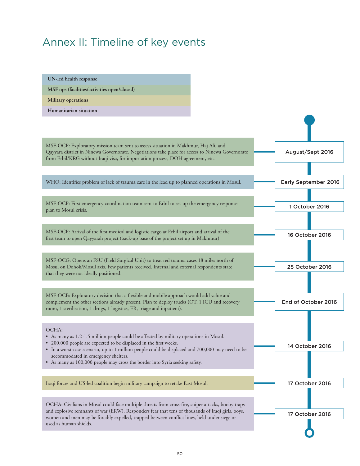# Annex II: Timeline of key events

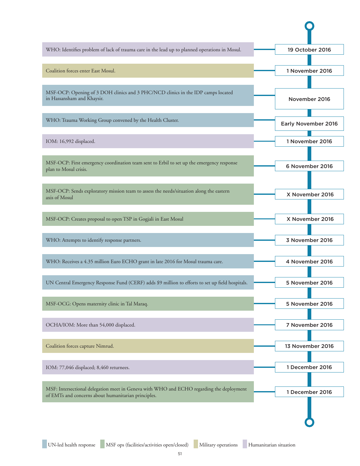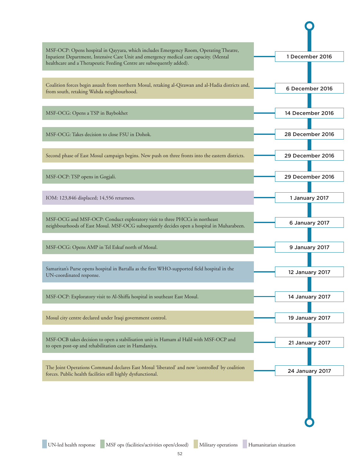| MSF-OCP: Opens hospital in Qayyara, which includes Emergency Room, Operating Theatre,<br>Inpatient Department, Intensive Care Unit and emergency medical care capacity. (Mental<br>healthcare and a Therapeutic Feeding Centre are subsequently added). | 1 December 2016  |
|---------------------------------------------------------------------------------------------------------------------------------------------------------------------------------------------------------------------------------------------------------|------------------|
|                                                                                                                                                                                                                                                         |                  |
| Coalition forces begin assault from northern Mosul, retaking al-Qirawan and al-Hadia districts and,<br>from south, retaking Wahda neighbourhood.                                                                                                        | 6 December 2016  |
| MSF-OCG: Opens a TSP in Baybokhet                                                                                                                                                                                                                       | 14 December 2016 |
| MSF-OCG: Takes decision to close FSU in Dohok.                                                                                                                                                                                                          | 28 December 2016 |
| Second phase of East Mosul campaign begins. New push on three fronts into the eastern districts.                                                                                                                                                        | 29 December 2016 |
| MSF-OCP: TSP opens in Gogjali.                                                                                                                                                                                                                          | 29 December 2016 |
| IOM: 123,846 displaced; 14,556 returnees.                                                                                                                                                                                                               | 1 January 2017   |
| MSF-OCG and MSF-OCP: Conduct exploratory visit to three PHCCs in northeast<br>neighbourhoods of East Mosul. MSF-OCG subsequently decides open a hospital in Muharabeen.                                                                                 | 6 January 2017   |
| MSF-OCG: Opens AMP in Tel Eskuf north of Mosul.                                                                                                                                                                                                         | 9 January 2017   |
| Samaritan's Purse opens hospital in Bartalla as the first WHO-supported field hospital in the<br>UN-coordinated response.                                                                                                                               | 12 January 2017  |
| MSF-OCP: Exploratory visit to Al-Shiffa hospital in southeast East Mosul.                                                                                                                                                                               | 14 January 2017  |
| Mosul city centre declared under Iraqi government control.                                                                                                                                                                                              | 19 January 2017  |
| MSF-OCB takes decision to open a stabilisation unit in Hamam al Halil with MSF-OCP and<br>to open post-op and rehabilitation care in Hamdaniya.                                                                                                         | 21 January 2017  |
| The Joint Operations Command declares East Mosul 'liberated' and now 'controlled' by coalition<br>forces. Public health facilities still highly dysfunctional.                                                                                          | 24 January 2017  |
|                                                                                                                                                                                                                                                         |                  |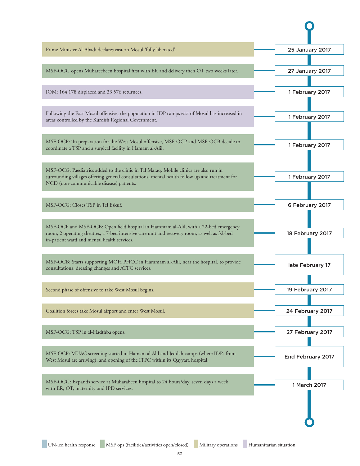| MSF-OCG opens Muhareebeen hospital first with ER and delivery then OT two weeks later.<br>IOM: 164,178 displaced and 33,576 returnees.<br>Following the East Mosul offensive, the population in IDP camps east of Mosul has increased in<br>areas controlled by the Kurdish Regional Government.<br>MSF-OCP: 'In preparation for the West Mosul offensive, MSF-OCP and MSF-OCB decide to<br>coordinate a TSP and a surgical facility in Hamam al-Alil.<br>MSF-OCG: Paediatrics added to the clinic in Tal Maraq. Mobile clinics are also run in<br>surrounding villages offering general consultations, mental health follow up and treatment for<br>NCD (non-communicable disease) patients.<br>MSF-OCG: Closes TSP in Tel Eskuf. | 27 January 2017<br>1 February 2017<br>1 February 2017<br>1 February 2017<br>1 February 2017 |
|------------------------------------------------------------------------------------------------------------------------------------------------------------------------------------------------------------------------------------------------------------------------------------------------------------------------------------------------------------------------------------------------------------------------------------------------------------------------------------------------------------------------------------------------------------------------------------------------------------------------------------------------------------------------------------------------------------------------------------|---------------------------------------------------------------------------------------------|
|                                                                                                                                                                                                                                                                                                                                                                                                                                                                                                                                                                                                                                                                                                                                    |                                                                                             |
|                                                                                                                                                                                                                                                                                                                                                                                                                                                                                                                                                                                                                                                                                                                                    |                                                                                             |
|                                                                                                                                                                                                                                                                                                                                                                                                                                                                                                                                                                                                                                                                                                                                    |                                                                                             |
|                                                                                                                                                                                                                                                                                                                                                                                                                                                                                                                                                                                                                                                                                                                                    |                                                                                             |
|                                                                                                                                                                                                                                                                                                                                                                                                                                                                                                                                                                                                                                                                                                                                    |                                                                                             |
| MSF-OCP and MSF-OCB: Open field hospital in Hammam al-Alil, with a 22-bed emergency<br>room, 2 operating theatres, a 7-bed intensive care unit and recovery room, as well as 32-bed<br>in-patient ward and mental health services.<br>MSF-OCB: Starts supporting MOH PHCC in Hammam al-Alil, near the hospital, to provide<br>consultations, dressing changes and ATFC services.<br>Second phase of offensive to take West Mosul begins.<br>Coalition forces take Mosul airport and enter West Mosul.                                                                                                                                                                                                                              | 6 February 2017                                                                             |
|                                                                                                                                                                                                                                                                                                                                                                                                                                                                                                                                                                                                                                                                                                                                    | 18 February 2017                                                                            |
|                                                                                                                                                                                                                                                                                                                                                                                                                                                                                                                                                                                                                                                                                                                                    | late February 17                                                                            |
|                                                                                                                                                                                                                                                                                                                                                                                                                                                                                                                                                                                                                                                                                                                                    | 19 February 2017                                                                            |
|                                                                                                                                                                                                                                                                                                                                                                                                                                                                                                                                                                                                                                                                                                                                    | 24 February 2017                                                                            |
| MSF-OCG: TSP in al-Hadthba opens.                                                                                                                                                                                                                                                                                                                                                                                                                                                                                                                                                                                                                                                                                                  | 27 February 2017                                                                            |
| MSF-OCP: MUAC screening started in Hamam al Alil and Jeddah camps (where IDPs from<br>West Mosul are arriving), and opening of the ITFC within its Qayyara hospital.                                                                                                                                                                                                                                                                                                                                                                                                                                                                                                                                                               |                                                                                             |
| MSF-OCG: Expands service at Muharabeen hospital to 24 hours/day, seven days a week<br>with ER, OT, maternity and IPD services.                                                                                                                                                                                                                                                                                                                                                                                                                                                                                                                                                                                                     | End February 2017                                                                           |

 $\mathbf O$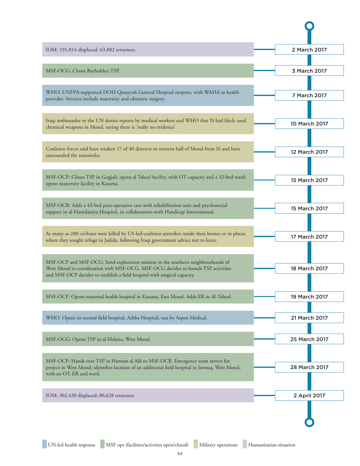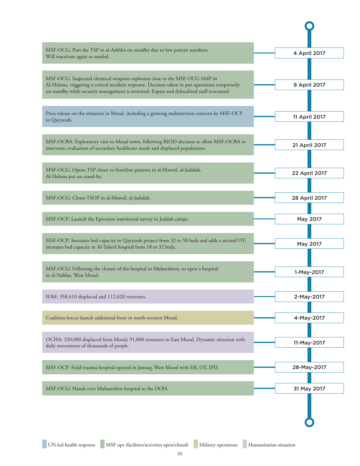| MSF-OCG: Puts the TSP in al-Adthba on standby due to low patient numbers.<br>Will reactivate again as needed.                                                                                                                                                             | 4 April 2017  |
|---------------------------------------------------------------------------------------------------------------------------------------------------------------------------------------------------------------------------------------------------------------------------|---------------|
| MSF-OCG: Suspected chemical weapons explosion close to the MSF-OCG AMP in<br>Al-Hekma, triggering a critical incident response. Decision taken to put operations temporarily<br>on standby while security management is reviewed. Expats and delocalized staff evacuated. | 9 April 2017  |
| Press release on the situation in Mosul, including a growing malnutrition concern by MSF-OCP<br>in Qayyarah.                                                                                                                                                              | 11 April 2017 |
| MSF-OCBA: Exploratory visit to Mosul town, following RIOD decision to allow MSF-OCBA to<br>intervene; evaluation of secondary healthcare needs and displaced populations.                                                                                                 | 21 April 2017 |
| MSF-OCG: Opens TSP closer to frontline patients in al-Mawsil, al-Jadidah.<br>Al-Hekma put on stand-by.                                                                                                                                                                    | 22 April 2017 |
| MSF-OCG: Closes TSOP in al-Mawsil, al-Jadidah.                                                                                                                                                                                                                            | 28 April 2017 |
| MSF-OCP: Launch the Epicentre nutritional survey in Jeddah camps.                                                                                                                                                                                                         | May 2017      |
| MSF-OCP: Increases bed capacity in Qayyarah project from 32 to 58 beds and adds a second OT;<br>increases bed capacity in Al-Taheel hospital from 18 to 32 beds.                                                                                                          | May 2017      |
| MSF-OCG: Following the closure of the hospital in Muharabeen, to open a hospital<br>in al-Nablus, West Mosul.                                                                                                                                                             | 1-May-2017    |
| IOM: 358,410 displaced and 112,620 returnees.                                                                                                                                                                                                                             | 2-May-2017    |
| Coalition forces launch additional front in north-western Mosul.                                                                                                                                                                                                          | 4-May-2017    |
| OCHA: 320,000 displaced from Mosul; 91,000 returnees to East Mosul. Dynamic situation with<br>daily movements of thousands of people.                                                                                                                                     | 11-May-2017   |
| MSF-OCP: Field trauma hospital opened in Jawsaq, West Mosul with ER, OT, IPD.                                                                                                                                                                                             | 28-May-2017   |
| MSF-OCG: Hands over Muhareeben hospital to the DOH.                                                                                                                                                                                                                       | 31 May 2017   |
|                                                                                                                                                                                                                                                                           |               |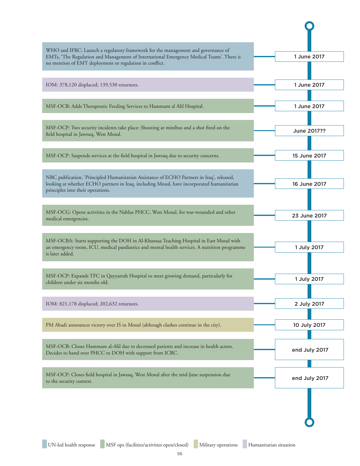| WHO and IFRC: Launch a regulatory framework for the management and governance of<br>EMTs, 'The Regulation and Management of International Emergency Medical Teams'. There is<br>no mention of EMT deployment or regulation in conflict. | 1 June 2017   |
|-----------------------------------------------------------------------------------------------------------------------------------------------------------------------------------------------------------------------------------------|---------------|
| IOM: 378,120 displaced; 139,530 returnees.                                                                                                                                                                                              | 1 June 2017   |
| MSF-OCB: Adds Therapeutic Feeding Services to Hammam al Alil Hospital.                                                                                                                                                                  | 1 June 2017   |
| MSF-OCP: Two security incidents take place: Shooting at minibus and a shot fired on the<br>field hospital in Jawsuq, West Mosul.                                                                                                        | June 2017??   |
| MSF-OCP: Suspends services at the field hospital in Jawsaq due to security concerns.                                                                                                                                                    | 15 June 2017  |
| NRC publication, 'Principled Humanitarian Assistance of ECHO Partners in Iraq', released,<br>looking at whether ECHO partners in Iraq, including Mosul, have incorporated humanitarian<br>principles into their operations.             | 16 June 2017  |
| MSF-OCG: Opens activities in the Nablus PHCC, West Mosul, for war-wounded and other<br>medical emergencies.                                                                                                                             | 23 June 2017  |
| MSF-OCBA: Starts supporting the DOH in Al-Khansaa Teaching Hospital in East Mosul with<br>an emergency room, ICU, medical paediatrics and mental health services. A nutrition programme<br>is later added.                              | 1 July 2017   |
| MSF-OCP: Expands TFC in Qayyarrah Hospital to meet growing demand, particularly for<br>children under six months old.                                                                                                                   | 1 July 2017   |
| IOM: 821,178 displaced; 202,632 returnees.                                                                                                                                                                                              | 2 July 2017   |
| PM Abadi announces victory over IS in Mosul (although clashes continue in the city).                                                                                                                                                    | 10 July 2017  |
| MSF-OCB: Closes Hammam al-Alil due to decreased patients and increase in health actors.<br>Decides to hand over PHCC to DOH with support from ICRC.                                                                                     | end July 2017 |
| MSF-OCP: Closes field hospital in Jawsaq, West Mosul after the mid-June suspension due<br>to the security context.                                                                                                                      | end July 2017 |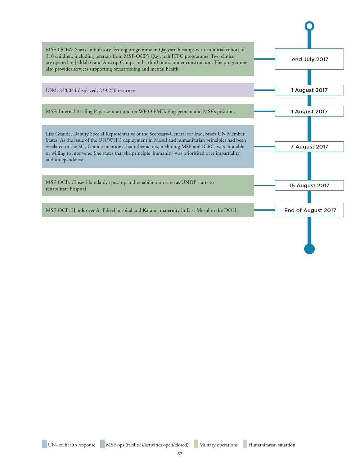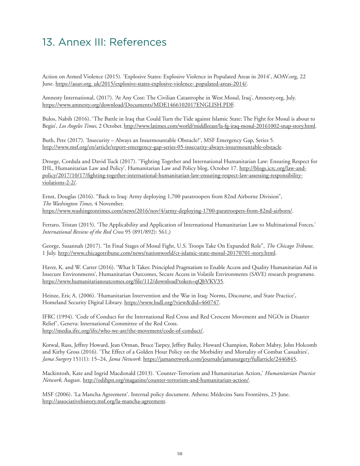# 13. Annex III: References

Action on Armed Violence (2015). 'Explosive States: Explosive Violence in Populated Areas in 2014', AOAV.org, 22 June. https://aoav.org. uk/2015/explosive-states-explosive-violence- populated-areas-2014/.

Amnesty International, (2017). 'At Any Cost: The Civilian Catastrophe in West Mosul, Iraq', Amnesty.org, July. https://www.amnesty.org/download/Documents/MDE1466102017ENGLISH.PDF.

Bulos, Nabih (2016). 'The Battle in Iraq that Could Turn the Tide against Islamic State: The Fight for Mosul is about to Begin', *Los Angeles Times,* 2 October. http://www.latimes.com/world/middleeast/la-fg-iraq-mosul-20161002-snap-story.html.

Buth, Pete (2017). 'Insecurity – Always an Insurmountable Obstacle?', MSF Emergency Gap, Series 5. http://www.msf.org/en/article/report-emergency-gap-series-05-insecurity-always-insurmountable-obstacle.

Droege, Cordula and David Tuck (2017). ''Fighting Together and International Humanitarian Law: Ensuring Respect for IHL, Humanitarian Law and Policy'. Humanitarian Law and Policy blog, October 17. http://blogs.icrc.org/law-andpolicy/2017/10/17/fighting-together-international-humanitarian-law-ensuring-respect-law-assessing-responsibilityviolations-2-2/.

Ernst, Douglas (2016). "Back to Iraq: Army deploying 1,700 paratroopers from 82nd Airborne Division", *The Washington Times,* 4 November. https://www.washingtontimes.com/news/2016/nov/4/army-deploying-1700-paratroopers-from-82nd-airborn/.

Ferraro, Tristan (2015). 'The Applicability and Application of International Humanitarian Law to Multinational Forces,' *International Review of the Red Cross* 95 (891/892): 561,)

George, Susannah (2017). "In Final Stages of Mosul Fight, U.S. Troops Take On Expanded Role", *The Chicago Tribune,*  1 July. http://www.chicagotribune.com/news/nationworld/ct-islamic-state-mosul-20170701-story.html.

Haver, K. and W. Carter (2016). 'What It Takes: Principled Pragmatism to Enable Access and Quality Humanitarian Aid in Insecure Environments', Humanitarian Outcomes, Secure Access in Volatile Environments (SAVE) research programme. https://www.humanitarianoutcomes.org/file/112/download?token=qQbVKV35.

Heinze, Eric A. (2006). 'Humanitarian Intervention and the War in Iraq: Norms, Discourse, and State Practice', Homeland Security Digital Library. https://www.hsdl.org/?view&did=460747.

IFRC (1994). 'Code of Conduct for the International Red Cross and Red Crescent Movement and NGOs in Disaster Relief', Geneva: International Committee of the Red Cross. http://media.ifrc.org/ifrc/who-we-are/the-movement/code-of-conduct/.

Kotwal, Russ, Jeffrey Howard, Jean Orman, Bruce Tarpey, Jeffrey Bailey, Howard Champion, Robert Mabry, John Holcomb and Kirby Gross (2016). 'The Effect of a Golden Hour Policy on the Morbidity and Mortality of Combat Casualties', *Jama Surgery* 151(1): 15–24, *Jama Network.* https://jamanetwork.com/journals/jamasurgery/fullarticle/2446845.

Mackintosh, Kate and Ingrid Macdonald (2013). 'Counter-Terrorism and Humanitarian Action,' *Humanitarian Practice Network,* August. http://odihpn.org/magazine/counter-terrorism-and-humanitarian-action/.

MSF (2006). 'La Mancha Agreement'. Internal policy document. Athens; Médecins Sans Frontières, 25 June. http://associativehistory.msf.org/la-mancha-agreement.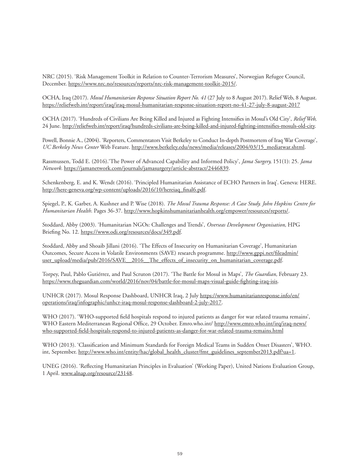NRC (2015). 'Risk Management Toolkit in Relation to Counter-Terrorism Measures', Norwegian Refugee Council, December. https://www.nrc.no/resources/reports/nrc-risk-management-toolkit-2015/.

OCHA, Iraq (2017). *Mosul Humanitarian Response Situation Report No. 41* (27 July to 8 August 2017). Relief Web, 8 August. https://reliefweb.int/report/iraq/iraq-mosul-humanitarian-response-situation-report-no-41-27-july-8-august-2017

OCHA (2017). 'Hundreds of Civilians Are Being Killed and Injured as Fighting Intensifies in Mosul's Old City', *Relief Web,*  24 June. http://reliefweb.int/report/iraq/hundreds-civilians-are-being-killed-and-injured-fighting-intensifies-mosuls-old-city.

Powell, Bonnie A., (2004). 'Reporters, Commentators Visit Berkeley to Conduct In-depth Postmortem of Iraq War Coverage', *UC Berkeley News Center* Web Feature. http://www.berkeley.edu/news/media/releases/2004/03/15\_mediatwar.shtml.

Rassmussen, Todd E. (2016).'The Power of Advanced Capability and Informed Policy', *Jama Surgery,* 151(1): 25. *Jama Network.* https://jamanetwork.com/journals/jamasurgery/article-abstract/2446839.

Schenkenberg, E. and K. Wendt (2016). 'Principled Humanitarian Assistance of ECHO Partners in Iraq'. Geneva: HERE. http://here-geneva.org/wp-content/uploads/2016/10/hereiaq\_final6.pdf.

Spiegel, P., K. Garber, A. Kushner and P. Wise (2018). *The Mosul Trauma Response: A Case Study. John Hopkins Centre for Humanitarian Health.* Pages 36-37. http://www.hopkinshumanitarianhealth.org/empower/resources/reports/.

Stoddard, Abby (2003). 'Humanitarian NGOs: Challenges and Trends', *Overseas Development Organisation,* HPG Briefing No. 12. https://www.odi.org/resources/docs/349.pdf.

Stoddard, Abby and Shoaib Jillani (2016). 'The Effects of Insecurity on Humanitarian Coverage', Humanitarian Outcomes, Secure Access in Volatile Environments (SAVE) research programme. [http://www.gppi.net/fileadmin/](http://www.gppi.net/fileadmin/user_upload/media/pub/2016/SAVE__2016__The_effects_of_insecurity_on_humanitarian_coverage.pdf) [user\\_upload/media/pub/2016/SAVE\\_\\_2016\\_\\_The\\_effects\\_of\\_insecurity\\_on\\_humanitarian\\_coverage.pdf.](http://www.gppi.net/fileadmin/user_upload/media/pub/2016/SAVE__2016__The_effects_of_insecurity_on_humanitarian_coverage.pdf)

Torpey, Paul, Pablo Gutiérrez, and Paul Scruton (2017). 'The Battle for Mosul in Maps', *The Guardian,* February 23. https://www.theguardian.com/world/2016/nov/04/battle-for-mosul-maps-visual-guide-fighting-iraq-isis.

UNHCR (2017). Mosul Response Dashboard, UNHCR Iraq, 2 July [https://www.humanitarianresponse.info/en/](https://www.humanitarianresponse.info/en/operations/iraq/infographic/unhcr-iraq-mosul-response-dashboard-2-july-2017) [operations/iraq/infographic/unhcr-iraq-mosul-response-dashboard-2-july-2017.](https://www.humanitarianresponse.info/en/operations/iraq/infographic/unhcr-iraq-mosul-response-dashboard-2-july-2017)

WHO (2017). 'WHO-supported field hospitals respond to injured patients as danger for war related trauma remains', WHO Eastern Mediterranean Regional Office, 29 October. Emro.who.int/ [http://www.emro.who.int/irq/iraq-news/](http://www.emro.who.int/irq/iraq-news/who-supported-field-hospitals-respond-to-injured-patients-as-danger-for-war-related-trauma-remains.html) [who-supported-field-hospitals-respond-to-injured-patients-as-danger-for-war-related-trauma-remains.html](http://www.emro.who.int/irq/iraq-news/who-supported-field-hospitals-respond-to-injured-patients-as-danger-for-war-related-trauma-remains.html)

WHO (2013). 'Classification and Minimum Standards for Foreign Medical Teams in Sudden Onset Disasters', WHO. int, September. http://www.who.int/entity/hac/global\_health\_cluster/fmt\_guidelines\_september2013.pdf?ua=1.

UNEG (2016). 'Reflecting Humanitarian Principles in Evaluation' (Working Paper), United Nations Evaluation Group, 1 April. www.alnap.org/resource/23148.